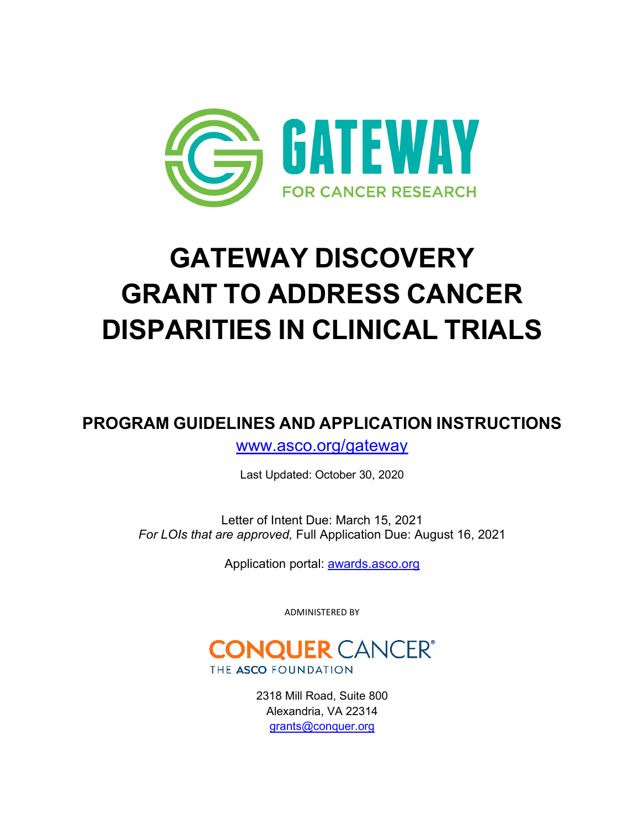

# **GATEWAY DISCOVERY GRANT TO ADDRESS CANCER DISPARITIES IN CLINICAL TRIALS**

**PROGRAM GUIDELINES AND APPLICATION INSTRUCTIONS**

[www.asco.org/gateway](http://www.asco.org/gateway)

Last Updated: October 30, 2020

Letter of Intent Due: March 15, 2021 *For LOIs that are approved,* Full Application Due: August 16, 2021

Application portal: [awards.asco.org](https://asco.smapply.org/)

ADMINISTERED BY



2318 Mill Road, Suite 800 Alexandria, VA 22314 [grants@conquer.org](mailto:grants@conquer.org)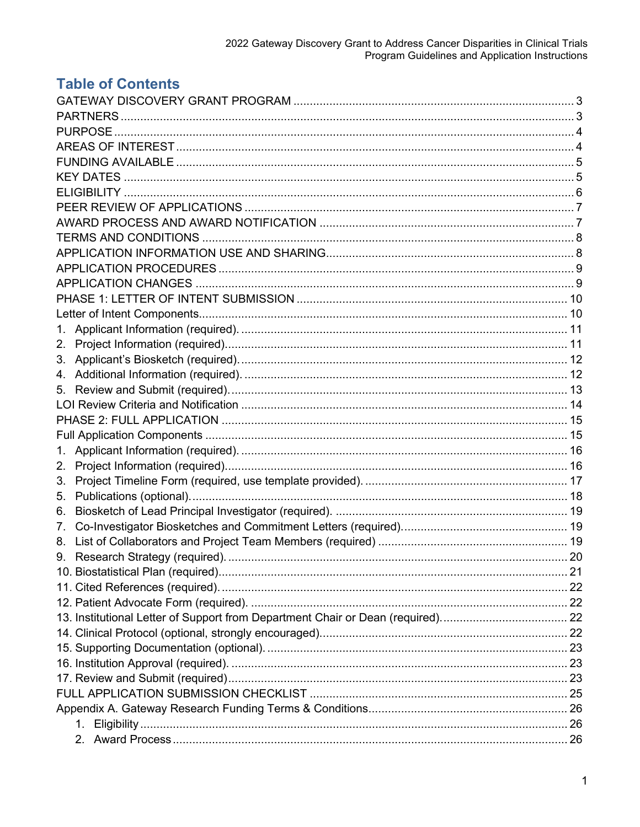## **Table of Contents**

| 1. |  |
|----|--|
| 2. |  |
|    |  |
|    |  |
|    |  |
|    |  |
|    |  |
|    |  |
| 1. |  |
| 2. |  |
| 3. |  |
| 5. |  |
| 6. |  |
| 7. |  |
| 8. |  |
|    |  |
|    |  |
|    |  |
|    |  |
|    |  |
|    |  |
|    |  |
|    |  |
|    |  |
|    |  |
|    |  |
|    |  |
|    |  |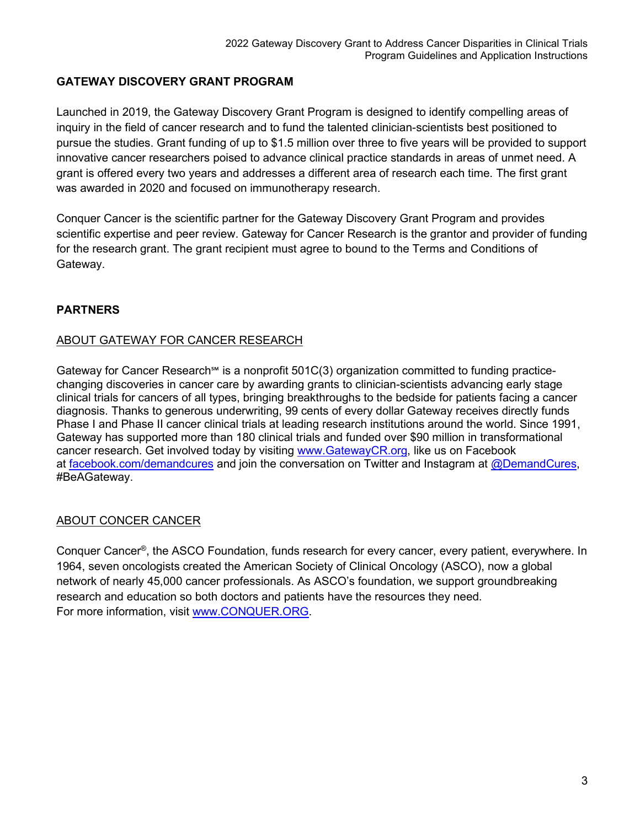## <span id="page-3-0"></span>**GATEWAY DISCOVERY GRANT PROGRAM**

Launched in 2019, the Gateway Discovery Grant Program is designed to identify compelling areas of inquiry in the field of cancer research and to fund the talented clinician-scientists best positioned to pursue the studies. Grant funding of up to \$1.5 million over three to five years will be provided to support innovative cancer researchers poised to advance clinical practice standards in areas of unmet need. A grant is offered every two years and addresses a different area of research each time. The first grant was awarded in 2020 and focused on immunotherapy research.

Conquer Cancer is the scientific partner for the Gateway Discovery Grant Program and provides scientific expertise and peer review. Gateway for Cancer Research is the grantor and provider of funding for the research grant. The grant recipient must agree to bound to the Terms and Conditions of Gateway.

## <span id="page-3-1"></span>**PARTNERS**

## ABOUT GATEWAY FOR CANCER RESEARCH

Gateway for Cancer Research  $\mathbb{S}$  is a nonprofit 501C(3) organization committed to funding practicechanging discoveries in cancer care by awarding grants to clinician-scientists advancing early stage clinical trials for cancers of all types, bringing breakthroughs to the bedside for patients facing a cancer diagnosis. Thanks to generous underwriting, 99 cents of every dollar Gateway receives directly funds Phase I and Phase II cancer clinical trials at leading research institutions around the world. Since 1991, Gateway has supported more than 180 clinical trials and funded over \$90 million in transformational cancer research. Get involved today by visiting [www.GatewayCR.org,](https://nam11.safelinks.protection.outlook.com/?url=https%3A%2F%2Fc212.net%2Fc%2Flink%2F%3Ft%3D0%26l%3Den%26o%3D2432450-1%26h%3D3984989619%26u%3Dhttp%253A%252F%252Fwww.gatewaycr.org%252F%26a%3Dwww.GatewayCR.org&data=04%7C01%7CDelora.Senft%40gatewaycr.org%7C7101066d10544c6d9c9a08d87c5cd04b%7C9b45049cb0db452f9f3375b120b51c52%7C0%7C0%7C637396085364465176%7CUnknown%7CTWFpbGZsb3d8eyJWIjoiMC4wLjAwMDAiLCJQIjoiV2luMzIiLCJBTiI6Ik1haWwiLCJXVCI6Mn0%3D%7C1000&sdata=ITCh2LPItJ5AKjb29QX3bI0Bt3nzaORskmnZaqchg94%3D&reserved=0) like us on Facebook at [facebook.com/demandcures](https://nam11.safelinks.protection.outlook.com/?url=https%3A%2F%2Fc212.net%2Fc%2Flink%2F%3Ft%3D0%26l%3Den%26o%3D2432450-1%26h%3D3635116391%26u%3Dhttps%253A%252F%252Fwww.facebook.com%252FDemandCures%252F%253Fref%253Dbr_rs%26a%3Dfacebook.com%252Fdemandcures&data=04%7C01%7CDelora.Senft%40gatewaycr.org%7C7101066d10544c6d9c9a08d87c5cd04b%7C9b45049cb0db452f9f3375b120b51c52%7C0%7C0%7C637396085364465176%7CUnknown%7CTWFpbGZsb3d8eyJWIjoiMC4wLjAwMDAiLCJQIjoiV2luMzIiLCJBTiI6Ik1haWwiLCJXVCI6Mn0%3D%7C1000&sdata=0l6COLITaf8BTKUT5IWg6oXrMZFlPnMTH161PNxHQMc%3D&reserved=0) and join the conversation on Twitter and Instagram at [@DemandCures,](https://nam11.safelinks.protection.outlook.com/?url=https%3A%2F%2Fc212.net%2Fc%2Flink%2F%3Ft%3D0%26l%3Den%26o%3D2432450-1%26h%3D386524485%26u%3Dhttps%253A%252F%252Ftwitter.com%252FDemandCures%26a%3D%2540DemandCures&data=04%7C01%7CDelora.Senft%40gatewaycr.org%7C7101066d10544c6d9c9a08d87c5cd04b%7C9b45049cb0db452f9f3375b120b51c52%7C0%7C0%7C637396085364475166%7CUnknown%7CTWFpbGZsb3d8eyJWIjoiMC4wLjAwMDAiLCJQIjoiV2luMzIiLCJBTiI6Ik1haWwiLCJXVCI6Mn0%3D%7C1000&sdata=2cpUbWBlj5RiTn2URMAYmK%2By%2FvT33TCI7js%2FM6NWMFw%3D&reserved=0) #BeAGateway.

## ABOUT CONCER CANCER

Conquer Cancer®, the ASCO Foundation, funds research for every cancer, every patient, everywhere. In 1964, seven oncologists created the American Society of Clinical Oncology (ASCO), now a global network of nearly 45,000 cancer professionals. As ASCO's foundation, we support groundbreaking research and education so both doctors and patients have the resources they need. For more information, visit [www.CONQUER.ORG.](http://www.conquer.org/)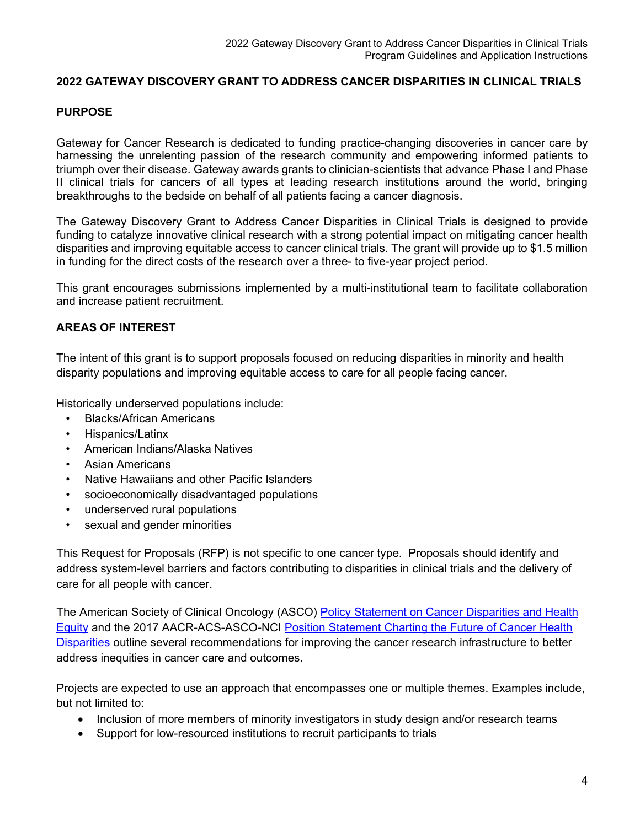#### **2022 GATEWAY DISCOVERY GRANT TO ADDRESS CANCER DISPARITIES IN CLINICAL TRIALS**

#### <span id="page-4-0"></span>**PURPOSE**

Gateway for Cancer Research is dedicated to funding practice-changing discoveries in cancer care by harnessing the unrelenting passion of the research community and empowering informed patients to triumph over their disease. Gateway awards grants to clinician-scientists that advance Phase I and Phase II clinical trials for cancers of all types at leading research institutions around the world, bringing breakthroughs to the bedside on behalf of all patients facing a cancer diagnosis.

The Gateway Discovery Grant to Address Cancer Disparities in Clinical Trials is designed to provide funding to catalyze innovative clinical research with a strong potential impact on mitigating cancer health disparities and improving equitable access to cancer clinical trials. The grant will provide up to \$1.5 million in funding for the direct costs of the research over a three- to five-year project period.

This grant encourages submissions implemented by a multi-institutional team to facilitate collaboration and increase patient recruitment.

#### <span id="page-4-1"></span>**AREAS OF INTEREST**

The intent of this grant is to support proposals focused on reducing disparities in minority and health disparity populations and improving equitable access to care for all people facing cancer.

Historically underserved populations include:

- Blacks/African Americans
- Hispanics/Latinx
- American Indians/Alaska Natives
- Asian Americans
- Native Hawaiians and other Pacific Islanders
- socioeconomically disadvantaged populations
- underserved rural populations
- sexual and gender minorities

This Request for Proposals (RFP) is not specific to one cancer type. Proposals should identify and address system-level barriers and factors contributing to disparities in clinical trials and the delivery of care for all people with cancer.

The American Society of Clinical Oncology (ASCO) Policy Statement on Cancer Disparities and Health [Equity](https://ascopubs.org/doi/full/10.1200/JCO.20.00642) and the 2017 AACR-ACS-ASCO-NCI [Position Statement Charting the Future of Cancer Health](https://ascopubs.org/doi/10.1200/JCO.2017.73.6546)  [Disparities](https://ascopubs.org/doi/10.1200/JCO.2017.73.6546) outline several recommendations for improving the cancer research infrastructure to better address inequities in cancer care and outcomes.

Projects are expected to use an approach that encompasses one or multiple themes. Examples include, but not limited to:

- Inclusion of more members of minority investigators in study design and/or research teams
- Support for low-resourced institutions to recruit participants to trials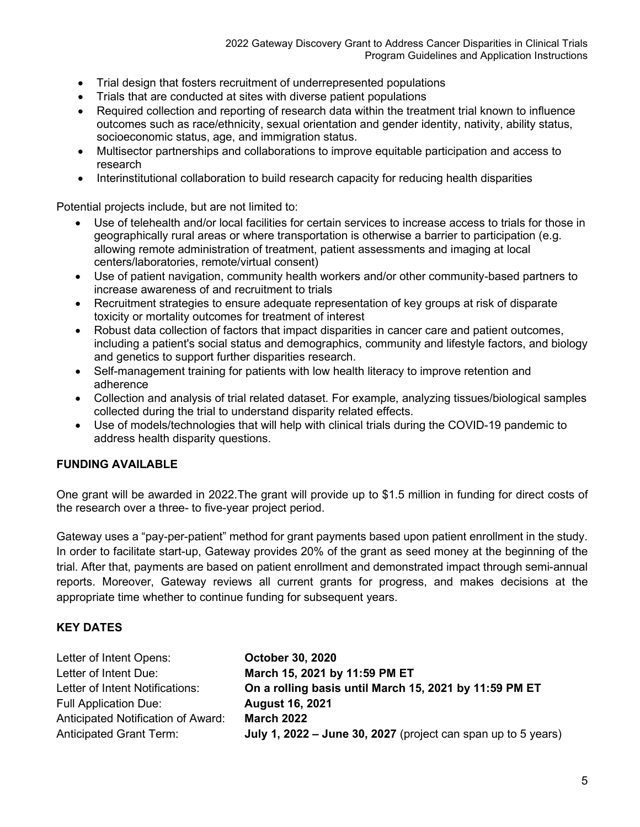- Trial design that fosters recruitment of underrepresented populations
- Trials that are conducted at sites with diverse patient populations
- Required collection and reporting of research data within the treatment trial known to influence outcomes such as race/ethnicity, sexual orientation and gender identity, nativity, ability status, socioeconomic status, age, and immigration status.
- Multisector partnerships and collaborations to improve equitable participation and access to research
- Interinstitutional collaboration to build research capacity for reducing health disparities

Potential projects include, but are not limited to:

- Use of telehealth and/or local facilities for certain services to increase access to trials for those in geographically rural areas or where transportation is otherwise a barrier to participation (e.g. allowing remote administration of treatment, patient assessments and imaging at local centers/laboratories, remote/virtual consent)
- Use of patient navigation, community health workers and/or other community-based partners to increase awareness of and recruitment to trials
- Recruitment strategies to ensure adequate representation of key groups at risk of disparate toxicity or mortality outcomes for treatment of interest
- Robust data collection of factors that impact disparities in cancer care and patient outcomes, including a patient's social status and demographics, community and lifestyle factors, and biology and genetics to support further disparities research.
- Self-management training for patients with low health literacy to improve retention and adherence
- Collection and analysis of trial related dataset. For example, analyzing tissues/biological samples collected during the trial to understand disparity related effects.
- Use of models/technologies that will help with clinical trials during the COVID-19 pandemic to address health disparity questions.

#### <span id="page-5-0"></span>**FUNDING AVAILABLE**

One grant will be awarded in 2022.The grant will provide up to \$1.5 million in funding for direct costs of the research over a three- to five-year project period.

Gateway uses a "pay-per-patient" method for grant payments based upon patient enrollment in the study. In order to facilitate start-up, Gateway provides 20% of the grant as seed money at the beginning of the trial. After that, payments are based on patient enrollment and demonstrated impact through semi-annual reports. Moreover, Gateway reviews all current grants for progress, and makes decisions at the appropriate time whether to continue funding for subsequent years.

#### <span id="page-5-1"></span>**KEY DATES**

| Letter of Intent Opens:                   | <b>October 30, 2020</b>                                       |
|-------------------------------------------|---------------------------------------------------------------|
| Letter of Intent Due:                     | March 15, 2021 by 11:59 PM ET                                 |
| Letter of Intent Notifications:           | On a rolling basis until March 15, 2021 by 11:59 PM ET        |
| <b>Full Application Due:</b>              | <b>August 16, 2021</b>                                        |
| <b>Anticipated Notification of Award:</b> | <b>March 2022</b>                                             |
| <b>Anticipated Grant Term:</b>            | July 1, 2022 - June 30, 2027 (project can span up to 5 years) |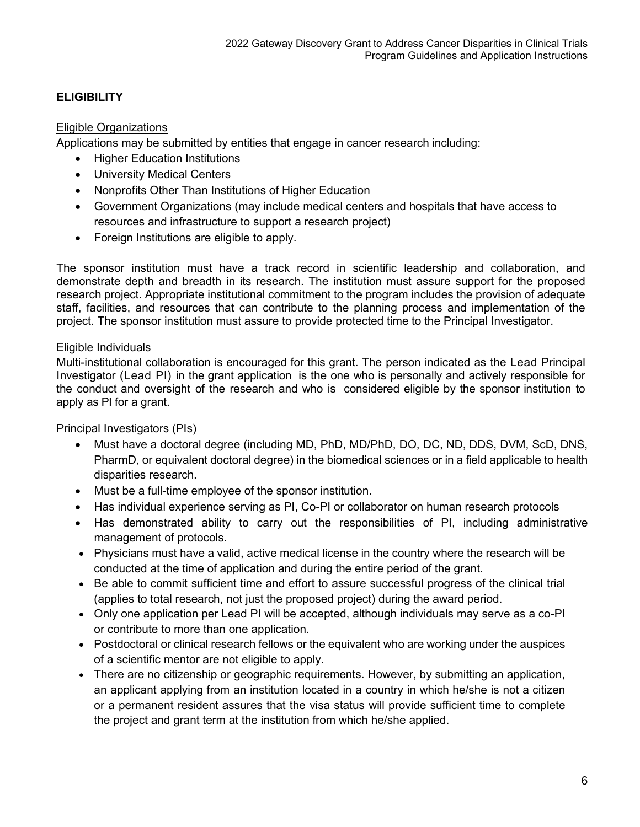## <span id="page-6-0"></span>**ELIGIBILITY**

#### Eligible Organizations

Applications may be submitted by entities that engage in cancer research including:

- Higher Education Institutions
- University Medical Centers
- Nonprofits Other Than Institutions of Higher Education
- Government Organizations (may include medical centers and hospitals that have access to resources and infrastructure to support a research project)
- Foreign Institutions are eligible to apply.

The sponsor institution must have a track record in scientific leadership and collaboration, and demonstrate depth and breadth in its research. The institution must assure support for the proposed research project. Appropriate institutional commitment to the program includes the provision of adequate staff, facilities, and resources that can contribute to the planning process and implementation of the project. The sponsor institution must assure to provide protected time to the Principal Investigator.

#### Eligible Individuals

Multi-institutional collaboration is encouraged for this grant. The person indicated as the Lead Principal Investigator (Lead PI) in the grant application is the one who is personally and actively responsible for the conduct and oversight of the research and who is considered eligible by the sponsor institution to apply as PI for a grant.

#### Principal Investigators (PIs)

- Must have a doctoral degree (including MD, PhD, MD/PhD, DO, DC, ND, DDS, DVM, ScD, DNS, PharmD, or equivalent doctoral degree) in the biomedical sciences or in a field applicable to health disparities research.
- Must be a full-time employee of the sponsor institution.
- Has individual experience serving as PI, Co-PI or collaborator on human research protocols
- Has demonstrated ability to carry out the responsibilities of PI, including administrative management of protocols.
- Physicians must have a valid, active medical license in the country where the research will be conducted at the time of application and during the entire period of the grant.
- Be able to commit sufficient time and effort to assure successful progress of the clinical trial (applies to total research, not just the proposed project) during the award period.
- Only one application per Lead PI will be accepted, although individuals may serve as a co-PI or contribute to more than one application.
- Postdoctoral or clinical research fellows or the equivalent who are working under the auspices of a scientific mentor are not eligible to apply.
- There are no citizenship or geographic requirements. However, by submitting an application, an applicant applying from an institution located in a country in which he/she is not a citizen or a permanent resident assures that the visa status will provide sufficient time to complete the project and grant term at the institution from which he/she applied.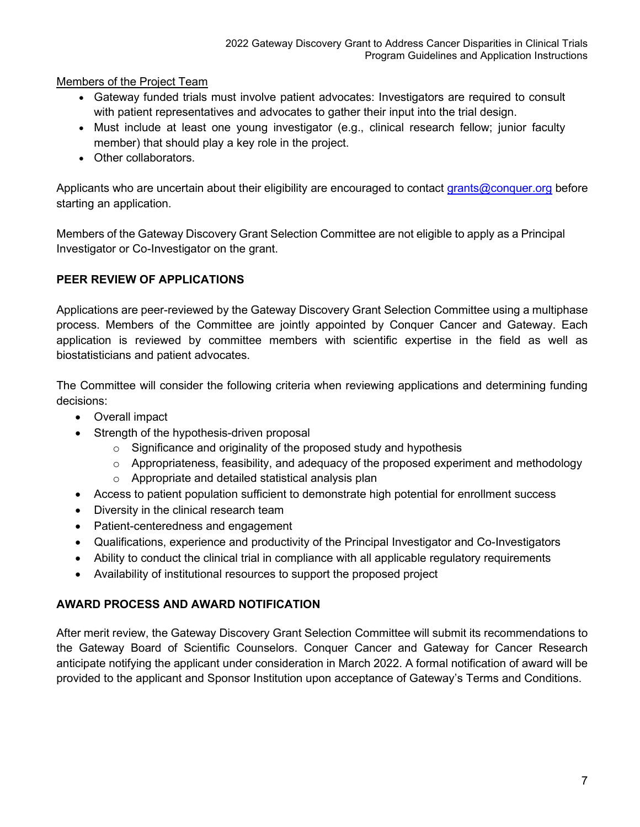Members of the Project Team

- Gateway funded trials must involve patient advocates: Investigators are required to consult with patient representatives and advocates to gather their input into the trial design.
- Must include at least one young investigator (e.g., clinical research fellow; junior faculty member) that should play a key role in the project.
- Other collaborators.

Applicants who are uncertain about their eligibility are encouraged to contact [grants@conquer.org](mailto:grants@conquer.org) before starting an application.

Members of the Gateway Discovery Grant Selection Committee are not eligible to apply as a Principal Investigator or Co-Investigator on the grant.

## <span id="page-7-0"></span>**PEER REVIEW OF APPLICATIONS**

Applications are peer-reviewed by the Gateway Discovery Grant Selection Committee using a multiphase process. Members of the Committee are jointly appointed by Conquer Cancer and Gateway. Each application is reviewed by committee members with scientific expertise in the field as well as biostatisticians and patient advocates.

The Committee will consider the following criteria when reviewing applications and determining funding decisions:

- Overall impact
- Strength of the hypothesis-driven proposal
	- $\circ$  Significance and originality of the proposed study and hypothesis
	- $\circ$  Appropriateness, feasibility, and adequacy of the proposed experiment and methodology
	- o Appropriate and detailed statistical analysis plan
- Access to patient population sufficient to demonstrate high potential for enrollment success
- Diversity in the clinical research team
- Patient-centeredness and engagement
- Qualifications, experience and productivity of the Principal Investigator and Co-Investigators
- Ability to conduct the clinical trial in compliance with all applicable regulatory requirements
- Availability of institutional resources to support the proposed project

## <span id="page-7-1"></span>**AWARD PROCESS AND AWARD NOTIFICATION**

After merit review, the Gateway Discovery Grant Selection Committee will submit its recommendations to the Gateway Board of Scientific Counselors. Conquer Cancer and Gateway for Cancer Research anticipate notifying the applicant under consideration in March 2022. A formal notification of award will be provided to the applicant and Sponsor Institution upon acceptance of Gateway's Terms and Conditions.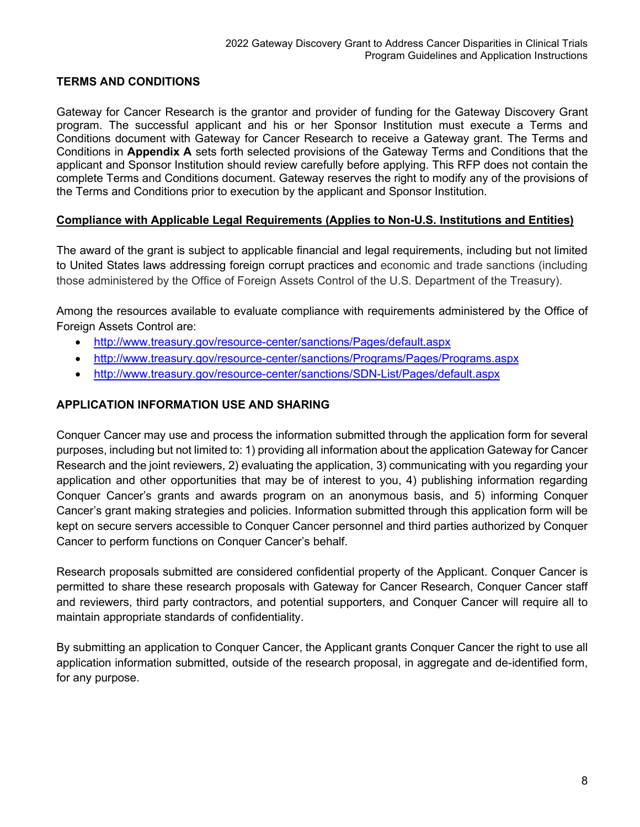## <span id="page-8-0"></span>**TERMS AND CONDITIONS**

Gateway for Cancer Research is the grantor and provider of funding for the Gateway Discovery Grant program. The successful applicant and his or her Sponsor Institution must execute a Terms and Conditions document with Gateway for Cancer Research to receive a Gateway grant. The Terms and Conditions in **Appendix A** sets forth selected provisions of the Gateway Terms and Conditions that the applicant and Sponsor Institution should review carefully before applying. This RFP does not contain the complete Terms and Conditions document. Gateway reserves the right to modify any of the provisions of the Terms and Conditions prior to execution by the applicant and Sponsor Institution.

#### **Compliance with Applicable Legal Requirements (Applies to Non-U.S. Institutions and Entities)**

The award of the grant is subject to applicable financial and legal requirements, including but not limited to United States laws addressing foreign corrupt practices and economic and trade sanctions (including those administered by the Office of Foreign Assets Control of the U.S. Department of the Treasury).

Among the resources available to evaluate compliance with requirements administered by the Office of Foreign Assets Control are:

- <http://www.treasury.gov/resource-center/sanctions/Pages/default.aspx>
- <http://www.treasury.gov/resource-center/sanctions/Programs/Pages/Programs.aspx>
- <http://www.treasury.gov/resource-center/sanctions/SDN-List/Pages/default.aspx>

#### <span id="page-8-1"></span>**APPLICATION INFORMATION USE AND SHARING**

Conquer Cancer may use and process the information submitted through the application form for several purposes, including but not limited to: 1) providing all information about the application Gateway for Cancer Research and the joint reviewers, 2) evaluating the application, 3) communicating with you regarding your application and other opportunities that may be of interest to you, 4) publishing information regarding Conquer Cancer's grants and awards program on an anonymous basis, and 5) informing Conquer Cancer's grant making strategies and policies. Information submitted through this application form will be kept on secure servers accessible to Conquer Cancer personnel and third parties authorized by Conquer Cancer to perform functions on Conquer Cancer's behalf.

Research proposals submitted are considered confidential property of the Applicant. Conquer Cancer is permitted to share these research proposals with Gateway for Cancer Research, Conquer Cancer staff and reviewers, third party contractors, and potential supporters, and Conquer Cancer will require all to maintain appropriate standards of confidentiality.

By submitting an application to Conquer Cancer, the Applicant grants Conquer Cancer the right to use all application information submitted, outside of the research proposal, in aggregate and de-identified form, for any purpose.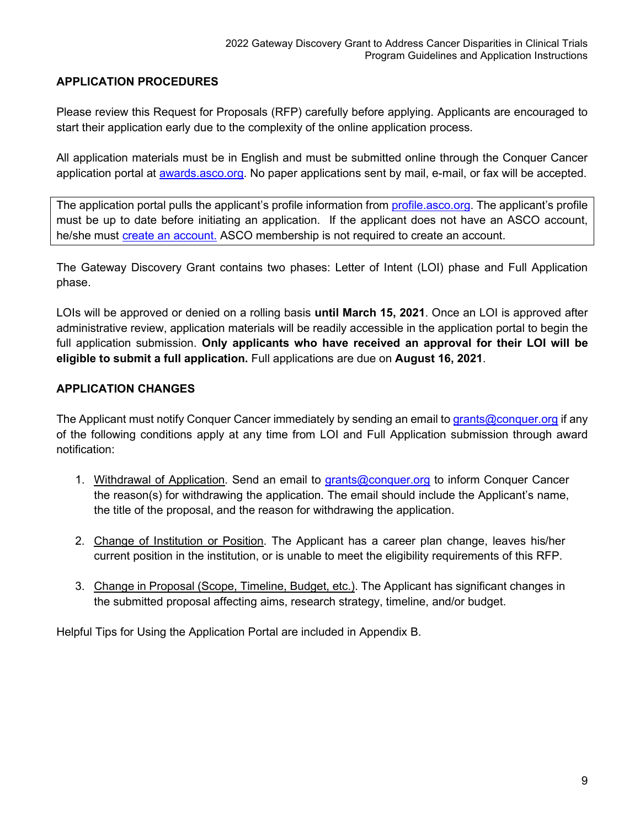## <span id="page-9-0"></span>**APPLICATION PROCEDURES**

Please review this Request for Proposals (RFP) carefully before applying. Applicants are encouraged to start their application early due to the complexity of the online application process.

All application materials must be in English and must be submitted online through the Conquer Cancer application portal at [awards.asco.org.](https://asco.smapply.org/) No paper applications sent by mail, e-mail, or fax will be accepted.

The application portal pulls the applicant's profile information from [profile.asco.org.](https://profile.asco.org/) The applicant's profile must be up to date before initiating an application. If the applicant does not have an ASCO account, he/she must [create an account.](https://login.asco.org/register?target=https%3A%2F%2Fsignin.asco.org%2Foauth2%2Fv1%2Fauthorize%2Fredirect%3Fokta_key%3DLf66Ygj8UjiYyzt-VHYAHqo4YmcmvIq6BBVCJr6MHkc) ASCO membership is not required to create an account.

The Gateway Discovery Grant contains two phases: Letter of Intent (LOI) phase and Full Application phase.

LOIs will be approved or denied on a rolling basis **until March 15, 2021**. Once an LOI is approved after administrative review, application materials will be readily accessible in the application portal to begin the full application submission. **Only applicants who have received an approval for their LOI will be eligible to submit a full application.** Full applications are due on **August 16, 2021**.

## <span id="page-9-1"></span>**APPLICATION CHANGES**

The Applicant must notify Conquer Cancer immediately by sending an email t[o grants@conquer.org](mailto:grants@conquer.org) if any of the following conditions apply at any time from LOI and Full Application submission through award notification:

- 1. Withdrawal of Application. Send an email to [grants@conquer.org](mailto:grants@conquer.org) to inform Conquer Cancer the reason(s) for withdrawing the application. The email should include the Applicant's name, the title of the proposal, and the reason for withdrawing the application.
- 2. Change of Institution or Position. The Applicant has a career plan change, leaves his/her current position in the institution, or is unable to meet the eligibility requirements of this RFP.
- 3. Change in Proposal (Scope, Timeline, Budget, etc.). The Applicant has significant changes in the submitted proposal affecting aims, research strategy, timeline, and/or budget.

Helpful Tips for Using the Application Portal are included in Appendix B.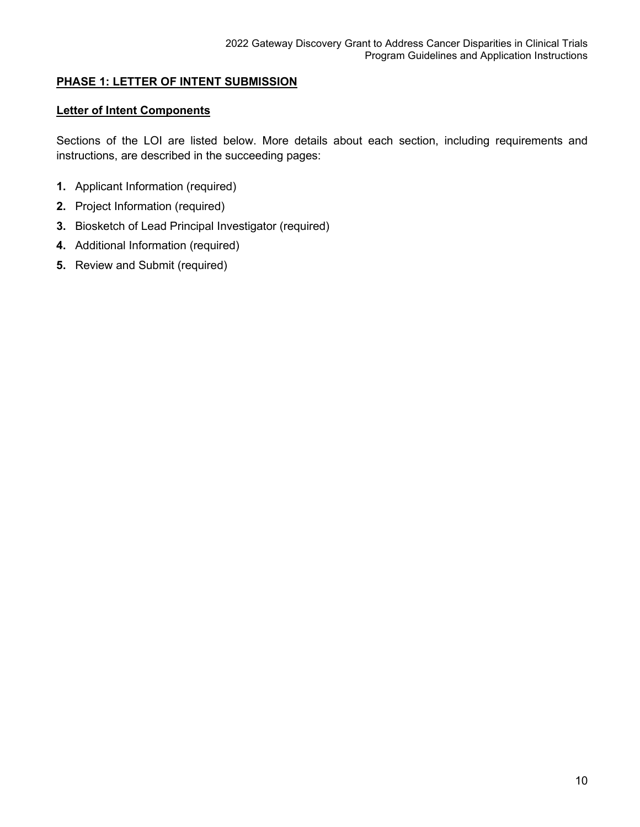## <span id="page-10-0"></span>**PHASE 1: LETTER OF INTENT SUBMISSION**

#### <span id="page-10-1"></span>**Letter of Intent Components**

Sections of the LOI are listed below. More details about each section, including requirements and instructions, are described in the succeeding pages:

- **1.** Applicant Information (required)
- **2.** Project Information (required)
- **3.** Biosketch of Lead Principal Investigator (required)
- **4.** Additional Information (required)
- **5.** Review and Submit (required)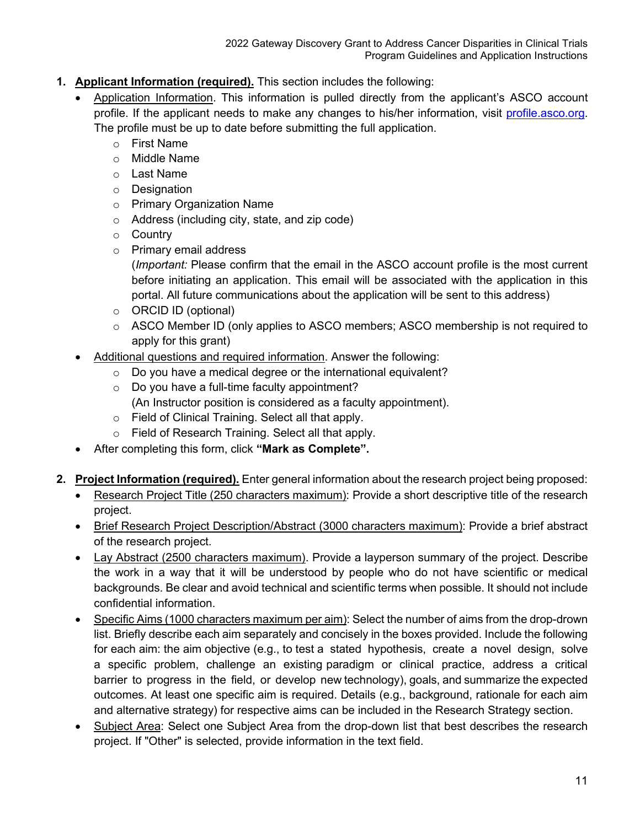- <span id="page-11-0"></span>**1. Applicant Information (required).** This section includes the following:
	- Application Information. This information is pulled directly from the applicant's ASCO account profile. If the applicant needs to make any changes to his/her information, visit [profile.asco.org.](https://profile.asco.org/) The profile must be up to date before submitting the full application.
		- o First Name
		- o Middle Name
		- o Last Name
		- o Designation
		- o Primary Organization Name
		- o Address (including city, state, and zip code)
		- o Country
		- o Primary email address
			- (*Important:* Please confirm that the email in the ASCO account profile is the most current before initiating an application. This email will be associated with the application in this portal. All future communications about the application will be sent to this address)
		- o ORCID ID (optional)
		- o ASCO Member ID (only applies to ASCO members; ASCO membership is not required to apply for this grant)
	- Additional questions and required information. Answer the following:
		- $\circ$  Do you have a medical degree or the international equivalent?
		- o Do you have a full-time faculty appointment?
		- (An Instructor position is considered as a faculty appointment).
		- o Field of Clinical Training. Select all that apply.
		- o Field of Research Training. Select all that apply.
	- After completing this form, click **"Mark as Complete".**
- <span id="page-11-1"></span>**2. Project Information (required).** Enter general information about the research project being proposed:
	- Research Project Title (250 characters maximum): Provide a short descriptive title of the research project.
	- Brief Research Project Description/Abstract (3000 characters maximum): Provide a brief abstract of the research project.
	- Lay Abstract (2500 characters maximum). Provide a layperson summary of the project. Describe the work in a way that it will be understood by people who do not have scientific or medical backgrounds. Be clear and avoid technical and scientific terms when possible. It should not include confidential information.
	- Specific Aims (1000 characters maximum per aim): Select the number of aims from the drop-drown list. Briefly describe each aim separately and concisely in the boxes provided. Include the following for each aim: the aim objective (e.g., to test a stated hypothesis, create a novel design, solve a specific problem, challenge an existing paradigm or clinical practice, address a critical barrier to progress in the field, or develop new technology), goals, and summarize the expected outcomes. At least one specific aim is required. Details (e.g., background, rationale for each aim and alternative strategy) for respective aims can be included in the Research Strategy section.
	- Subject Area: Select one Subject Area from the drop-down list that best describes the research project. If "Other" is selected, provide information in the text field.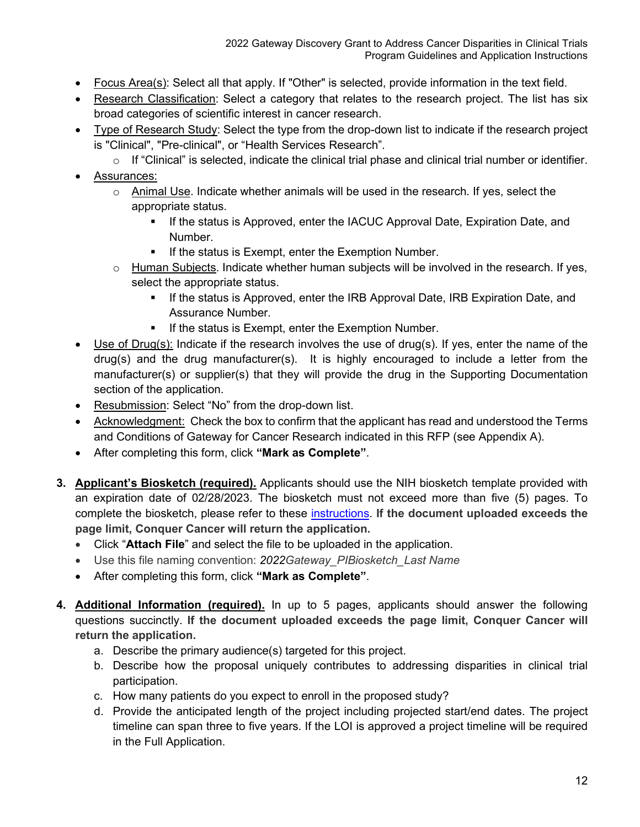- Focus Area(s): Select all that apply. If "Other" is selected, provide information in the text field.
- Research Classification: Select a category that relates to the research project. The list has six broad categories of scientific interest in cancer research.
- Type of Research Study: Select the type from the drop-down list to indicate if the research project is "Clinical", "Pre-clinical", or "Health Services Research".
	- o If "Clinical" is selected, indicate the clinical trial phase and clinical trial number or identifier.
- Assurances:
	- $\circ$  Animal Use. Indicate whether animals will be used in the research. If yes, select the appropriate status.
		- If the status is Approved, enter the IACUC Approval Date, Expiration Date, and Number.
		- **If the status is Exempt, enter the Exemption Number.**
	- $\circ$  Human Subjects. Indicate whether human subjects will be involved in the research. If yes, select the appropriate status.
		- If the status is Approved, enter the IRB Approval Date, IRB Expiration Date, and Assurance Number.
		- **If the status is Exempt, enter the Exemption Number.**
- Use of Drug(s): Indicate if the research involves the use of drug(s). If yes, enter the name of the drug(s) and the drug manufacturer(s). It is highly encouraged to include a letter from the manufacturer(s) or supplier(s) that they will provide the drug in the Supporting Documentation section of the application.
- Resubmission: Select "No" from the drop-down list.
- Acknowledgment: Check the box to confirm that the applicant has read and understood the Terms and Conditions of Gateway for Cancer Research indicated in this RFP (see Appendix A).
- After completing this form, click **"Mark as Complete"**.
- <span id="page-12-0"></span>**3. Applicant's Biosketch (required).** Applicants should use the NIH biosketch template provided with an expiration date of 02/28/2023. The biosketch must not exceed more than five (5) pages. To complete the biosketch, please refer to these [instructions.](https://grants.nih.gov/grants/how-to-apply-application-guide/forms-e/general/g.240-r&r-seniorkey-person-profile-(expanded)-form.htm#Instructions) **If the document uploaded exceeds the page limit, Conquer Cancer will return the application.**
	- Click "**Attach File**" and select the file to be uploaded in the application.
	- Use this file naming convention: *2022Gateway\_PIBiosketch\_Last Name*
	- After completing this form, click **"Mark as Complete"**.
- <span id="page-12-1"></span>**4. Additional Information (required).** In up to 5 pages, applicants should answer the following questions succinctly. **If the document uploaded exceeds the page limit, Conquer Cancer will return the application.**
	- a. Describe the primary audience(s) targeted for this project.
	- b. Describe how the proposal uniquely contributes to addressing disparities in clinical trial participation.
	- c. How many patients do you expect to enroll in the proposed study?
	- d. Provide the anticipated length of the project including projected start/end dates. The project timeline can span three to five years. If the LOI is approved a project timeline will be required in the Full Application.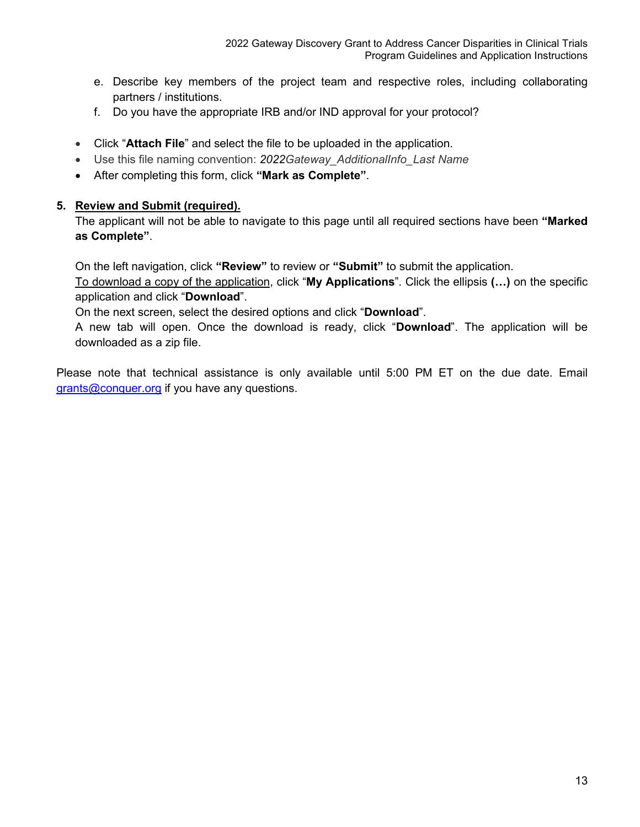- e. Describe key members of the project team and respective roles, including collaborating partners / institutions.
- f. Do you have the appropriate IRB and/or IND approval for your protocol?
- Click "**Attach File**" and select the file to be uploaded in the application.
- Use this file naming convention: *2022Gateway\_AdditionalInfo\_Last Name*
- After completing this form, click **"Mark as Complete"**.

#### <span id="page-13-0"></span>**5. Review and Submit (required).**

The applicant will not be able to navigate to this page until all required sections have been **"Marked as Complete"**.

On the left navigation, click **"Review"** to review or **"Submit"** to submit the application.

To download a copy of the application, click "**My Applications**". Click the ellipsis **(…)** on the specific application and click "**Download**".

On the next screen, select the desired options and click "**Download**".

A new tab will open. Once the download is ready, click "**Download**". The application will be downloaded as a zip file.

Please note that technical assistance is only available until 5:00 PM ET on the due date. Email [grants@conquer.org](mailto:grants@conquer.org) if you have any questions.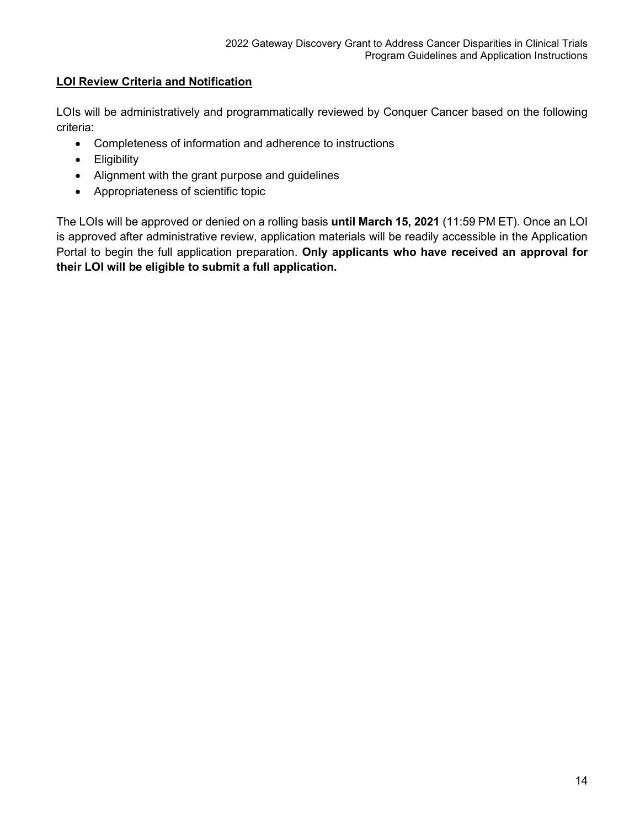## <span id="page-14-0"></span>**LOI Review Criteria and Notification**

LOIs will be administratively and programmatically reviewed by Conquer Cancer based on the following criteria:

- Completeness of information and adherence to instructions
- Eligibility
- Alignment with the grant purpose and guidelines
- Appropriateness of scientific topic

The LOIs will be approved or denied on a rolling basis **until March 15, 2021** (11:59 PM ET). Once an LOI is approved after administrative review, application materials will be readily accessible in the Application Portal to begin the full application preparation. **Only applicants who have received an approval for their LOI will be eligible to submit a full application.**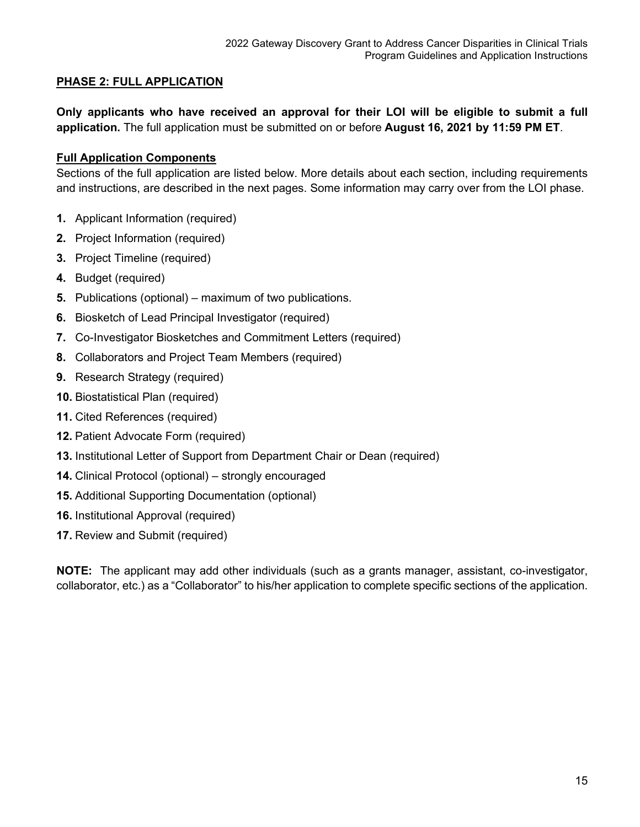## <span id="page-15-0"></span>**PHASE 2: FULL APPLICATION**

**Only applicants who have received an approval for their LOI will be eligible to submit a full application.** The full application must be submitted on or before **August 16, 2021 by 11:59 PM ET**.

## <span id="page-15-1"></span>**Full Application Components**

Sections of the full application are listed below. More details about each section, including requirements and instructions, are described in the next pages. Some information may carry over from the LOI phase.

- **1.** Applicant Information (required)
- **2.** Project Information (required)
- **3.** Project Timeline (required)
- **4.** Budget (required)
- **5.** Publications (optional) maximum of two publications.
- **6.** Biosketch of Lead Principal Investigator (required)
- **7.** Co-Investigator Biosketches and Commitment Letters (required)
- **8.** Collaborators and Project Team Members (required)
- **9.** Research Strategy (required)
- **10.** Biostatistical Plan (required)
- **11.** Cited References (required)
- **12.** Patient Advocate Form (required)
- **13.** Institutional Letter of Support from Department Chair or Dean (required)
- **14.** Clinical Protocol (optional) strongly encouraged
- **15.** Additional Supporting Documentation (optional)
- **16.** Institutional Approval (required)
- **17.** Review and Submit (required)

**NOTE:** The applicant may add other individuals (such as a grants manager, assistant, co-investigator, collaborator, etc.) as a "Collaborator" to his/her application to complete specific sections of the application.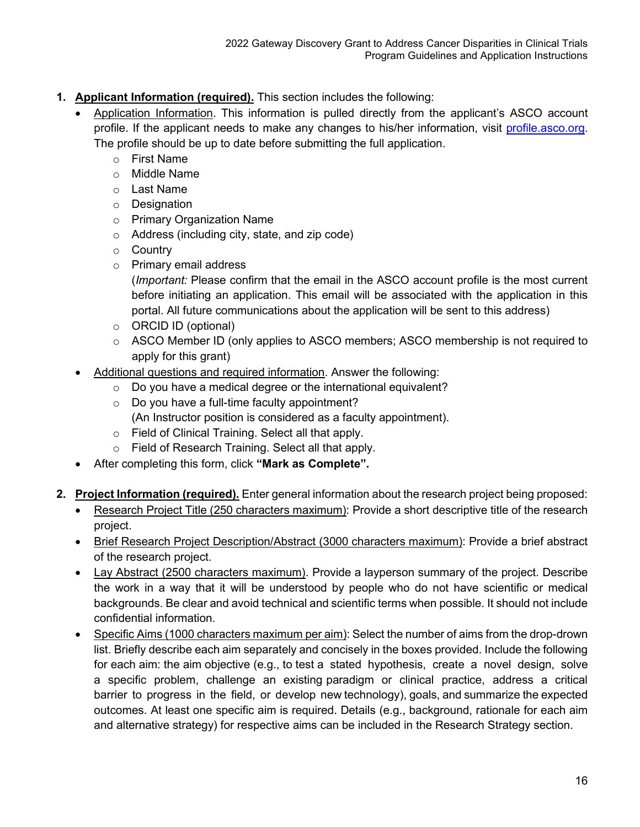- <span id="page-16-0"></span>**1. Applicant Information (required).** This section includes the following:
	- Application Information. This information is pulled directly from the applicant's ASCO account profile. If the applicant needs to make any changes to his/her information, visit [profile.asco.org.](https://profile.asco.org/) The profile should be up to date before submitting the full application.
		- o First Name
		- o Middle Name
		- o Last Name
		- o Designation
		- o Primary Organization Name
		- o Address (including city, state, and zip code)
		- o Country
		- o Primary email address

(*Important:* Please confirm that the email in the ASCO account profile is the most current before initiating an application. This email will be associated with the application in this portal. All future communications about the application will be sent to this address)

- o ORCID ID (optional)
- $\circ$  ASCO Member ID (only applies to ASCO members; ASCO membership is not required to apply for this grant)
- Additional questions and required information. Answer the following:
	- o Do you have a medical degree or the international equivalent?
	- o Do you have a full-time faculty appointment?
	- (An Instructor position is considered as a faculty appointment).
	- o Field of Clinical Training. Select all that apply.
	- o Field of Research Training. Select all that apply.
- After completing this form, click **"Mark as Complete".**
- <span id="page-16-1"></span>**2. Project Information (required).** Enter general information about the research project being proposed:
	- Research Project Title (250 characters maximum): Provide a short descriptive title of the research project.
	- Brief Research Project Description/Abstract (3000 characters maximum): Provide a brief abstract of the research project.
	- Lay Abstract (2500 characters maximum). Provide a layperson summary of the project. Describe the work in a way that it will be understood by people who do not have scientific or medical backgrounds. Be clear and avoid technical and scientific terms when possible. It should not include confidential information.
	- Specific Aims (1000 characters maximum per aim): Select the number of aims from the drop-drown list. Briefly describe each aim separately and concisely in the boxes provided. Include the following for each aim: the aim objective (e.g., to test a stated hypothesis, create a novel design, solve a specific problem, challenge an existing paradigm or clinical practice, address a critical barrier to progress in the field, or develop new technology), goals, and summarize the expected outcomes. At least one specific aim is required. Details (e.g., background, rationale for each aim and alternative strategy) for respective aims can be included in the Research Strategy section.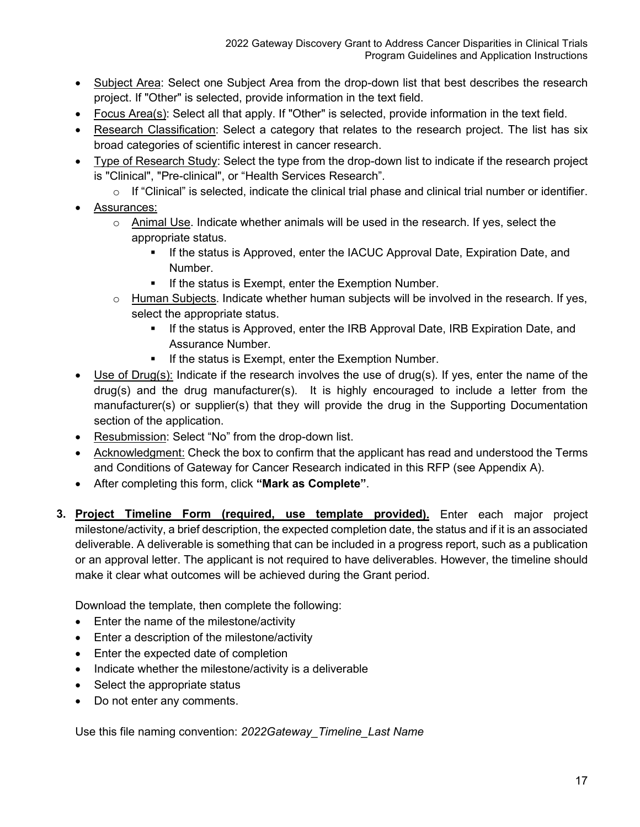- Subject Area: Select one Subject Area from the drop-down list that best describes the research project. If "Other" is selected, provide information in the text field.
- Focus Area(s): Select all that apply. If "Other" is selected, provide information in the text field.
- Research Classification: Select a category that relates to the research project. The list has six broad categories of scientific interest in cancer research.
- Type of Research Study: Select the type from the drop-down list to indicate if the research project is "Clinical", "Pre-clinical", or "Health Services Research".
	- $\circ$  If "Clinical" is selected, indicate the clinical trial phase and clinical trial number or identifier.
- Assurances:
	- $\circ$  Animal Use. Indicate whether animals will be used in the research. If yes, select the appropriate status.
		- **If the status is Approved, enter the IACUC Approval Date, Expiration Date, and** Number.
		- If the status is Exempt, enter the Exemption Number.
	- o Human Subjects. Indicate whether human subjects will be involved in the research. If yes, select the appropriate status.
		- If the status is Approved, enter the IRB Approval Date, IRB Expiration Date, and Assurance Number.
		- **If the status is Exempt, enter the Exemption Number.**
- Use of Drug(s): Indicate if the research involves the use of drug(s). If yes, enter the name of the drug(s) and the drug manufacturer(s). It is highly encouraged to include a letter from the manufacturer(s) or supplier(s) that they will provide the drug in the Supporting Documentation section of the application.
- Resubmission: Select "No" from the drop-down list.
- Acknowledgment: Check the box to confirm that the applicant has read and understood the Terms and Conditions of Gateway for Cancer Research indicated in this RFP (see Appendix A).
- After completing this form, click **"Mark as Complete"**.
- <span id="page-17-0"></span>**3. Project Timeline Form (required, use template provided).** Enter each major project milestone/activity, a brief description, the expected completion date, the status and if it is an associated deliverable. A deliverable is something that can be included in a progress report, such as a publication or an approval letter. The applicant is not required to have deliverables. However, the timeline should make it clear what outcomes will be achieved during the Grant period.

Download the template, then complete the following:

- Enter the name of the milestone/activity
- Enter a description of the milestone/activity
- Enter the expected date of completion
- Indicate whether the milestone/activity is a deliverable
- Select the appropriate status
- Do not enter any comments.

Use this file naming convention: *2022Gateway\_Timeline\_Last Name*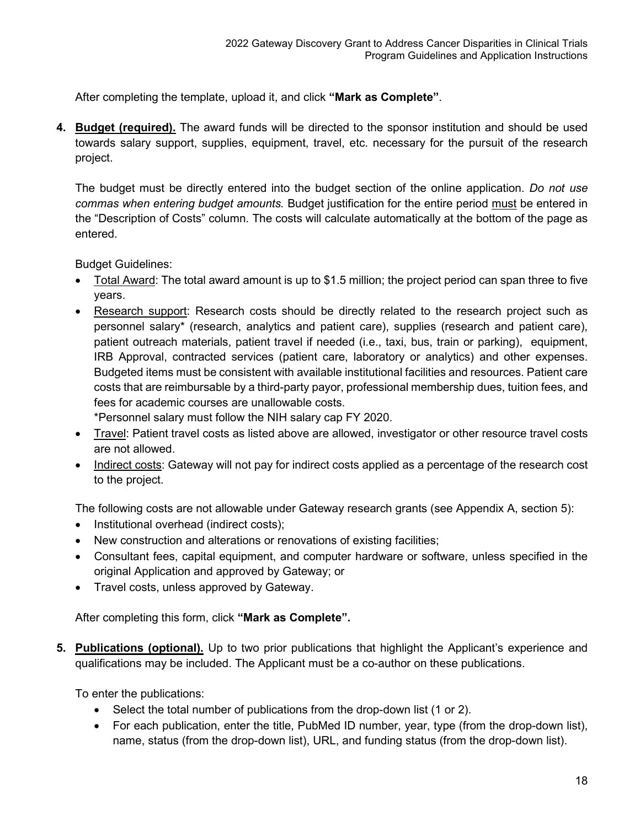After completing the template, upload it, and click **"Mark as Complete"**.

**4. Budget (required).** The award funds will be directed to the sponsor institution and should be used towards salary support, supplies, equipment, travel, etc. necessary for the pursuit of the research project.

The budget must be directly entered into the budget section of the online application. *Do not use commas when entering budget amounts.* Budget justification for the entire period must be entered in the "Description of Costs" column. The costs will calculate automatically at the bottom of the page as entered.

Budget Guidelines:

- Total Award: The total award amount is up to \$1.5 million; the project period can span three to five years.
- Research support: Research costs should be directly related to the research project such as personnel salary\* (research, analytics and patient care), supplies (research and patient care), patient outreach materials, patient travel if needed (i.e., taxi, bus, train or parking), equipment, IRB Approval, contracted services (patient care, laboratory or analytics) and other expenses. Budgeted items must be consistent with available institutional facilities and resources. Patient care costs that are reimbursable by a third-party payor, professional membership dues, tuition fees, and fees for academic courses are unallowable costs.

\*Personnel salary must follow the NIH salary cap FY 2020.

- Travel: Patient travel costs as listed above are allowed, investigator or other resource travel costs are not allowed.
- Indirect costs: Gateway will not pay for indirect costs applied as a percentage of the research cost to the project.

The following costs are not allowable under Gateway research grants (see Appendix A, section 5):

- Institutional overhead (indirect costs);
- New construction and alterations or renovations of existing facilities;
- Consultant fees, capital equipment, and computer hardware or software, unless specified in the original Application and approved by Gateway; or
- Travel costs, unless approved by Gateway.

After completing this form, click **"Mark as Complete".**

<span id="page-18-0"></span>**5. Publications (optional).** Up to two prior publications that highlight the Applicant's experience and qualifications may be included. The Applicant must be a co-author on these publications.

To enter the publications:

- Select the total number of publications from the drop-down list (1 or 2).
- For each publication, enter the title, PubMed ID number, year, type (from the drop-down list), name, status (from the drop-down list), URL, and funding status (from the drop-down list).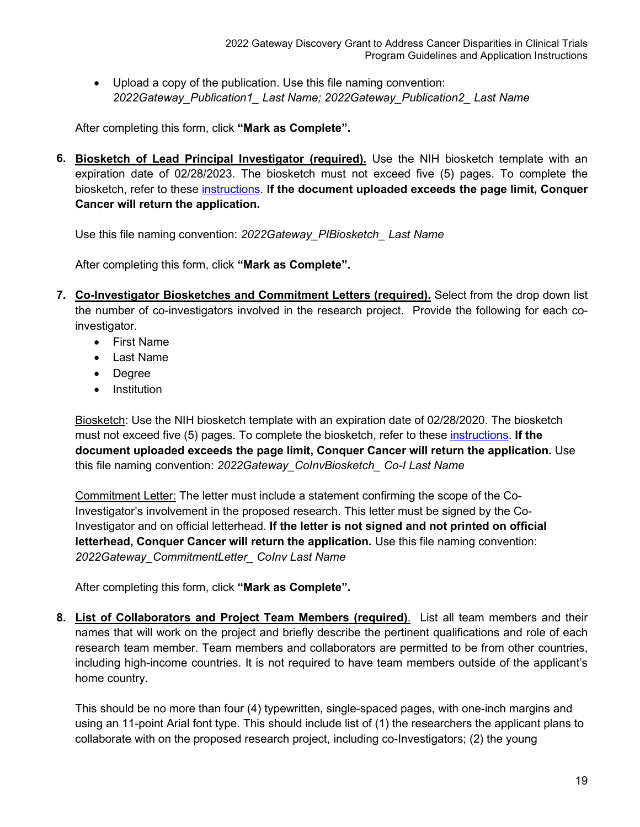• Upload a copy of the publication. Use this file naming convention: *2022Gateway\_Publication1\_ Last Name; 2022Gateway\_Publication2\_ Last Name*

After completing this form, click **"Mark as Complete".**

<span id="page-19-0"></span>**6. Biosketch of Lead Principal Investigator (required).** Use the NIH biosketch template with an expiration date of 02/28/2023. The biosketch must not exceed five (5) pages. To complete the biosketch, refer to these [instructions.](https://grants.nih.gov/grants/how-to-apply-application-guide/forms-e/general/g.240-r&r-seniorkey-person-profile-(expanded)-form.htm#Instructions) **If the document uploaded exceeds the page limit, Conquer Cancer will return the application.**

Use this file naming convention: *2022Gateway\_PIBiosketch\_ Last Name*

After completing this form, click **"Mark as Complete".**

- <span id="page-19-1"></span>**7. Co-Investigator Biosketches and Commitment Letters (required).** Select from the drop down list the number of co-investigators involved in the research project. Provide the following for each coinvestigator.
	- First Name
	- Last Name
	- Degree
	- Institution

Biosketch: Use the NIH biosketch template with an expiration date of 02/28/2020. The biosketch must not exceed five (5) pages. To complete the biosketch, refer to these [instructions.](https://grants.nih.gov/grants/how-to-apply-application-guide/forms-e/general/g.240-r&r-seniorkey-person-profile-(expanded)-form.htm#Instructions) **If the document uploaded exceeds the page limit, Conquer Cancer will return the application.** Use this file naming convention: *2022Gateway\_CoInvBiosketch\_ Co-I Last Name*

Commitment Letter: The letter must include a statement confirming the scope of the Co-Investigator's involvement in the proposed research. This letter must be signed by the Co-Investigator and on official letterhead. **If the letter is not signed and not printed on official letterhead, Conquer Cancer will return the application.** Use this file naming convention: *2022Gateway\_CommitmentLetter\_ CoInv Last Name*

After completing this form, click **"Mark as Complete".**

<span id="page-19-2"></span>**8. List of Collaborators and Project Team Members (required)**.List all team members and their names that will work on the project and briefly describe the pertinent qualifications and role of each research team member. Team members and collaborators are permitted to be from other countries, including high-income countries. It is not required to have team members outside of the applicant's home country.

This should be no more than four (4) typewritten, single-spaced pages, with one-inch margins and using an 11-point Arial font type. This should include list of (1) the researchers the applicant plans to collaborate with on the proposed research project, including co-Investigators; (2) the young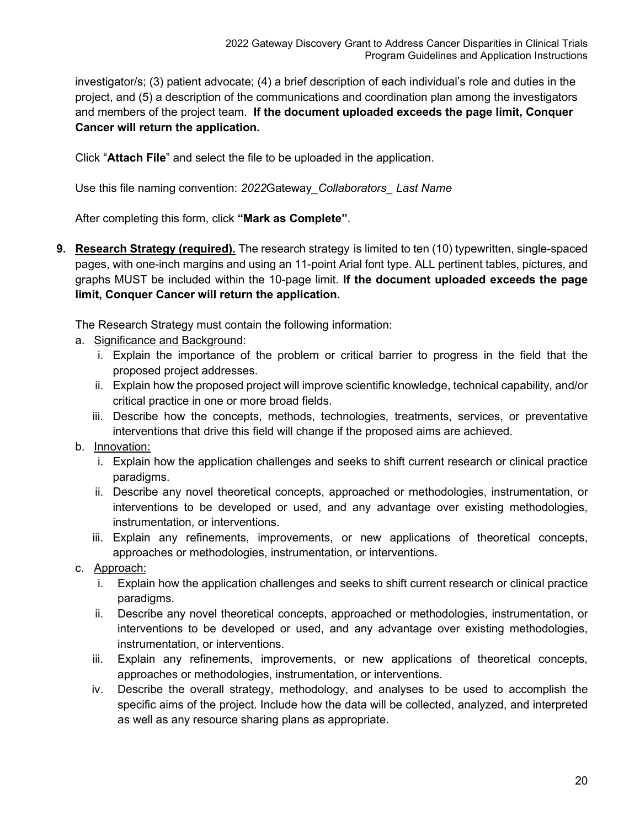investigator/s; (3) patient advocate; (4) a brief description of each individual's role and duties in the project, and (5) a description of the communications and coordination plan among the investigators and members of the project team. **If the document uploaded exceeds the page limit, Conquer Cancer will return the application.**

Click "**Attach File**" and select the file to be uploaded in the application.

Use this file naming convention: *2022*Gateway*\_Collaborators\_ Last Name*

After completing this form, click **"Mark as Complete"**.

<span id="page-20-0"></span>**9.** Research Strategy (required). The research strategy is limited to ten (10) typewritten, single-spaced pages, with one-inch margins and using an 11-point Arial font type. ALL pertinent tables, pictures, and graphs MUST be included within the 10-page limit. **If the document uploaded exceeds the page limit, Conquer Cancer will return the application.**

The Research Strategy must contain the following information:

- a. Significance and Background:
	- i. Explain the importance of the problem or critical barrier to progress in the field that the proposed project addresses.
	- ii. Explain how the proposed project will improve scientific knowledge, technical capability, and/or critical practice in one or more broad fields.
	- iii. Describe how the concepts, methods, technologies, treatments, services, or preventative interventions that drive this field will change if the proposed aims are achieved.

#### b. Innovation:

- i. Explain how the application challenges and seeks to shift current research or clinical practice paradigms.
- ii. Describe any novel theoretical concepts, approached or methodologies, instrumentation, or interventions to be developed or used, and any advantage over existing methodologies, instrumentation, or interventions.
- iii. Explain any refinements, improvements, or new applications of theoretical concepts, approaches or methodologies, instrumentation, or interventions.
- c. Approach:
	- i. Explain how the application challenges and seeks to shift current research or clinical practice paradigms.
	- ii. Describe any novel theoretical concepts, approached or methodologies, instrumentation, or interventions to be developed or used, and any advantage over existing methodologies, instrumentation, or interventions.
	- iii. Explain any refinements, improvements, or new applications of theoretical concepts, approaches or methodologies, instrumentation, or interventions.
	- iv. Describe the overall strategy, methodology, and analyses to be used to accomplish the specific aims of the project. Include how the data will be collected, analyzed, and interpreted as well as any resource sharing plans as appropriate.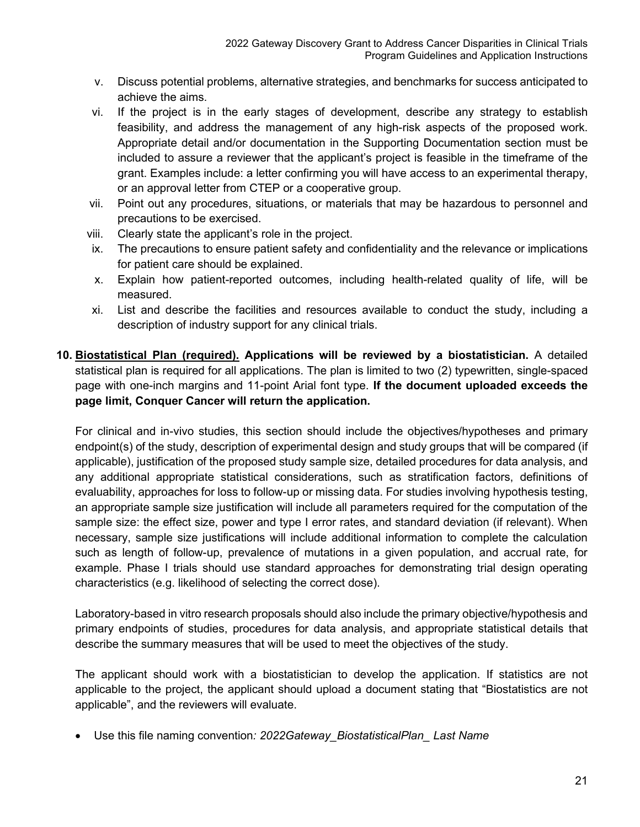- v. Discuss potential problems, alternative strategies, and benchmarks for success anticipated to achieve the aims.
- vi. If the project is in the early stages of development, describe any strategy to establish feasibility, and address the management of any high-risk aspects of the proposed work. Appropriate detail and/or documentation in the Supporting Documentation section must be included to assure a reviewer that the applicant's project is feasible in the timeframe of the grant. Examples include: a letter confirming you will have access to an experimental therapy, or an approval letter from CTEP or a cooperative group.
- vii. Point out any procedures, situations, or materials that may be hazardous to personnel and precautions to be exercised.
- viii. Clearly state the applicant's role in the project.
- ix. The precautions to ensure patient safety and confidentiality and the relevance or implications for patient care should be explained.
- x. Explain how patient-reported outcomes, including health-related quality of life, will be measured.
- xi. List and describe the facilities and resources available to conduct the study, including a description of industry support for any clinical trials.
- <span id="page-21-0"></span>**10. Biostatistical Plan (required). Applications will be reviewed by a biostatistician.** A detailed statistical plan is required for all applications. The plan is limited to two (2) typewritten, single-spaced page with one-inch margins and 11-point Arial font type. **If the document uploaded exceeds the page limit, Conquer Cancer will return the application.**

For clinical and in-vivo studies, this section should include the objectives/hypotheses and primary endpoint(s) of the study, description of experimental design and study groups that will be compared (if applicable), justification of the proposed study sample size, detailed procedures for data analysis, and any additional appropriate statistical considerations, such as stratification factors, definitions of evaluability, approaches for loss to follow-up or missing data. For studies involving hypothesis testing, an appropriate sample size justification will include all parameters required for the computation of the sample size: the effect size, power and type I error rates, and standard deviation (if relevant). When necessary, sample size justifications will include additional information to complete the calculation such as length of follow-up, prevalence of mutations in a given population, and accrual rate, for example. Phase I trials should use standard approaches for demonstrating trial design operating characteristics (e.g. likelihood of selecting the correct dose).

Laboratory-based in vitro research proposals should also include the primary objective/hypothesis and primary endpoints of studies, procedures for data analysis, and appropriate statistical details that describe the summary measures that will be used to meet the objectives of the study.

The applicant should work with a biostatistician to develop the application. If statistics are not applicable to the project, the applicant should upload a document stating that "Biostatistics are not applicable", and the reviewers will evaluate.

• Use this file naming convention*: 2022Gateway\_BiostatisticalPlan\_ Last Name*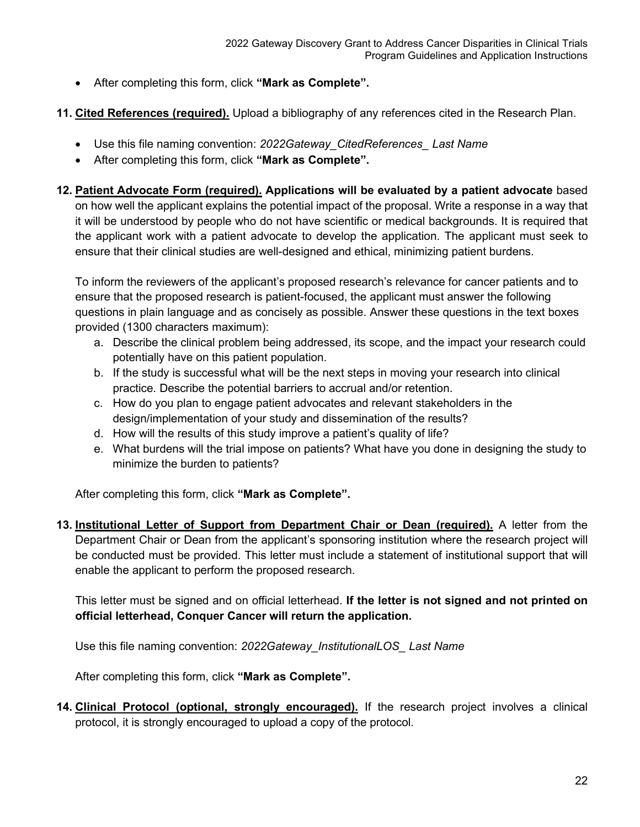- After completing this form, click **"Mark as Complete".**
- <span id="page-22-0"></span>**11. Cited References (required).** Upload a bibliography of any references cited in the Research Plan.
	- Use this file naming convention: *2022Gateway\_CitedReferences\_ Last Name*
	- After completing this form, click **"Mark as Complete".**
- <span id="page-22-1"></span>**12. Patient Advocate Form (required). Applications will be evaluated by a patient advocate** based on how well the applicant explains the potential impact of the proposal. Write a response in a way that it will be understood by people who do not have scientific or medical backgrounds. It is required that the applicant work with a patient advocate to develop the application. The applicant must seek to ensure that their clinical studies are well-designed and ethical, minimizing patient burdens.

To inform the reviewers of the applicant's proposed research's relevance for cancer patients and to ensure that the proposed research is patient-focused, the applicant must answer the following questions in plain language and as concisely as possible. Answer these questions in the text boxes provided (1300 characters maximum):

- a. Describe the clinical problem being addressed, its scope, and the impact your research could potentially have on this patient population.
- b. If the study is successful what will be the next steps in moving your research into clinical practice. Describe the potential barriers to accrual and/or retention.
- c. How do you plan to engage patient advocates and relevant stakeholders in the design/implementation of your study and dissemination of the results?
- d. How will the results of this study improve a patient's quality of life?
- e. What burdens will the trial impose on patients? What have you done in designing the study to minimize the burden to patients?

After completing this form, click **"Mark as Complete".**

<span id="page-22-2"></span>**13. Institutional Letter of Support from Department Chair or Dean (required).** A letter from the Department Chair or Dean from the applicant's sponsoring institution where the research project will be conducted must be provided. This letter must include a statement of institutional support that will enable the applicant to perform the proposed research.

This letter must be signed and on official letterhead. **If the letter is not signed and not printed on official letterhead, Conquer Cancer will return the application.**

Use this file naming convention: *2022Gateway\_InstitutionalLOS\_ Last Name*

After completing this form, click **"Mark as Complete".**

<span id="page-22-3"></span>**14. Clinical Protocol (optional, strongly encouraged).** If the research project involves a clinical protocol, it is strongly encouraged to upload a copy of the protocol.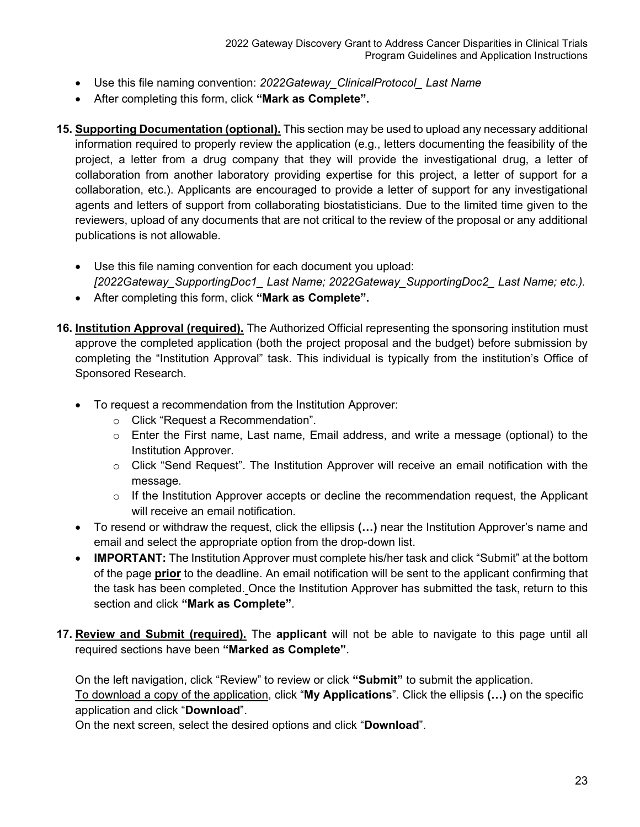- Use this file naming convention: *2022Gateway\_ClinicalProtocol\_ Last Name*
- After completing this form, click **"Mark as Complete".**
- <span id="page-23-0"></span>**15. Supporting Documentation (optional).** This section may be used to upload any necessary additional information required to properly review the application (e.g., letters documenting the feasibility of the project, a letter from a drug company that they will provide the investigational drug, a letter of collaboration from another laboratory providing expertise for this project, a letter of support for a collaboration, etc.). Applicants are encouraged to provide a letter of support for any investigational agents and letters of support from collaborating biostatisticians. Due to the limited time given to the reviewers, upload of any documents that are not critical to the review of the proposal or any additional publications is not allowable.
	- Use this file naming convention for each document you upload: *[2022Gateway\_SupportingDoc1\_ Last Name; 2022Gateway\_SupportingDoc2\_ Last Name; etc.).*
	- After completing this form, click **"Mark as Complete".**
- <span id="page-23-1"></span>**16. Institution Approval (required).** The Authorized Official representing the sponsoring institution must approve the completed application (both the project proposal and the budget) before submission by completing the "Institution Approval" task. This individual is typically from the institution's Office of Sponsored Research.
	- To request a recommendation from the Institution Approver:
		- o Click "Request a Recommendation".
		- o Enter the First name, Last name, Email address, and write a message (optional) to the Institution Approver.
		- $\circ$  Click "Send Request". The Institution Approver will receive an email notification with the message.
		- $\circ$  If the Institution Approver accepts or decline the recommendation request, the Applicant will receive an email notification.
	- To resend or withdraw the request, click the ellipsis **(…)** near the Institution Approver's name and email and select the appropriate option from the drop-down list.
	- **IMPORTANT:** The Institution Approver must complete his/her task and click "Submit" at the bottom of the page **prior** to the deadline. An email notification will be sent to the applicant confirming that the task has been completed. Once the Institution Approver has submitted the task, return to this section and click **"Mark as Complete"**.
- <span id="page-23-2"></span>**17. Review and Submit (required).** The **applicant** will not be able to navigate to this page until all required sections have been **"Marked as Complete"**.

On the left navigation, click "Review" to review or click **"Submit"** to submit the application.

To download a copy of the application, click "**My Applications**". Click the ellipsis **(…)** on the specific application and click "**Download**".

On the next screen, select the desired options and click "**Download**".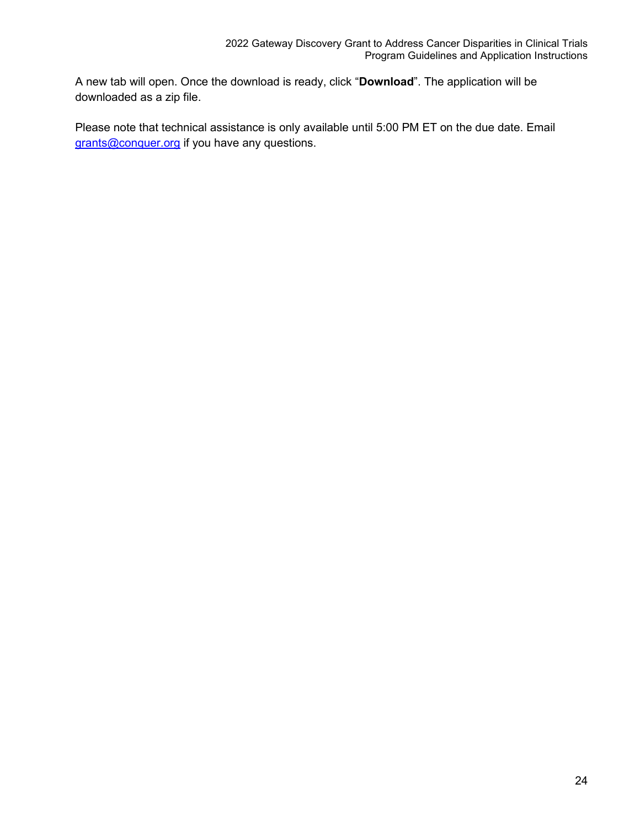A new tab will open. Once the download is ready, click "**Download**". The application will be downloaded as a zip file.

Please note that technical assistance is only available until 5:00 PM ET on the due date. Email [grants@conquer.org](mailto:grants@conquer.org) if you have any questions.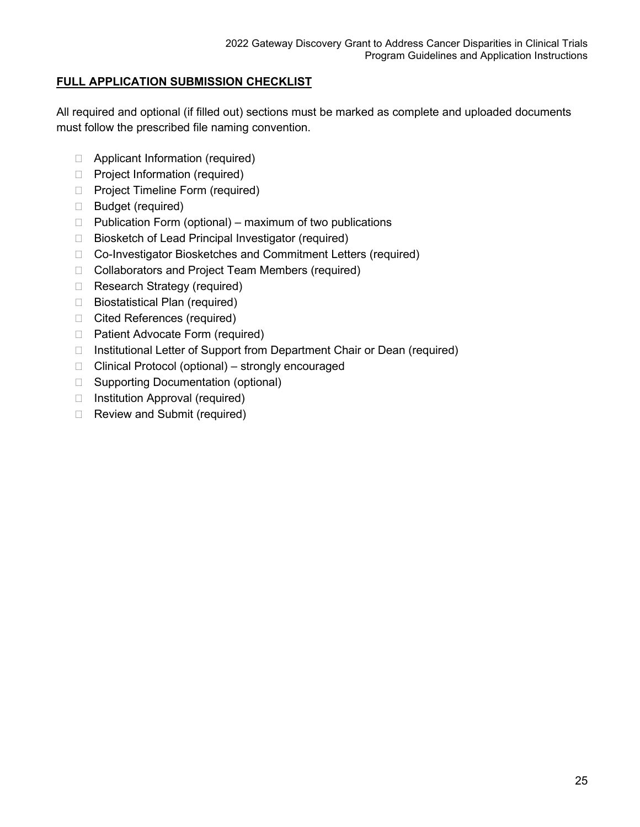## <span id="page-25-0"></span>**FULL APPLICATION SUBMISSION CHECKLIST**

All required and optional (if filled out) sections must be marked as complete and uploaded documents must follow the prescribed file naming convention.

- □ Applicant Information (required)
- □ Project Information (required)
- □ Project Timeline Form (required)
- Budget (required)
- $\Box$  Publication Form (optional) maximum of two publications
- $\Box$  Biosketch of Lead Principal Investigator (required)
- □ Co-Investigator Biosketches and Commitment Letters (required)
- □ Collaborators and Project Team Members (required)
- □ Research Strategy (required)
- □ Biostatistical Plan (required)
- □ Cited References (required)
- □ Patient Advocate Form (required)
- □ Institutional Letter of Support from Department Chair or Dean (required)
- $\Box$  Clinical Protocol (optional) strongly encouraged
- □ Supporting Documentation (optional)
- $\Box$  Institution Approval (required)
- Review and Submit (required)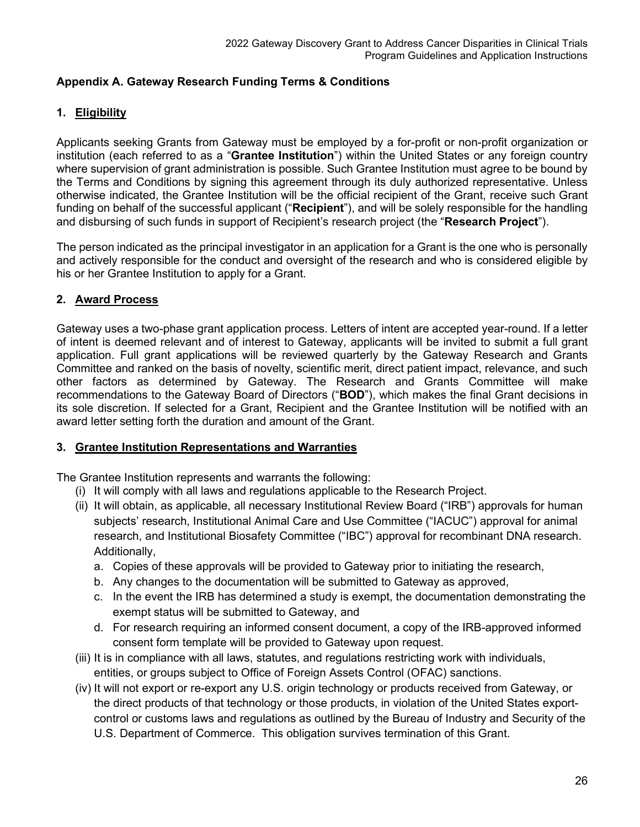## <span id="page-26-0"></span>**Appendix A. Gateway Research Funding Terms & Conditions**

## <span id="page-26-1"></span>**1. Eligibility**

Applicants seeking Grants from Gateway must be employed by a for-profit or non-profit organization or institution (each referred to as a "**Grantee Institution**") within the United States or any foreign country where supervision of grant administration is possible. Such Grantee Institution must agree to be bound by the Terms and Conditions by signing this agreement through its duly authorized representative. Unless otherwise indicated, the Grantee Institution will be the official recipient of the Grant, receive such Grant funding on behalf of the successful applicant ("**Recipient**"), and will be solely responsible for the handling and disbursing of such funds in support of Recipient's research project (the "**Research Project**").

The person indicated as the principal investigator in an application for a Grant is the one who is personally and actively responsible for the conduct and oversight of the research and who is considered eligible by his or her Grantee Institution to apply for a Grant.

#### <span id="page-26-2"></span>**2. Award Process**

Gateway uses a two-phase grant application process. Letters of intent are accepted year-round. If a letter of intent is deemed relevant and of interest to Gateway, applicants will be invited to submit a full grant application. Full grant applications will be reviewed quarterly by the Gateway Research and Grants Committee and ranked on the basis of novelty, scientific merit, direct patient impact, relevance, and such other factors as determined by Gateway. The Research and Grants Committee will make recommendations to the Gateway Board of Directors ("**BOD**"), which makes the final Grant decisions in its sole discretion. If selected for a Grant, Recipient and the Grantee Institution will be notified with an award letter setting forth the duration and amount of the Grant.

#### <span id="page-26-3"></span>**3. Grantee Institution Representations and Warranties**

The Grantee Institution represents and warrants the following:

- (i) It will comply with all laws and regulations applicable to the Research Project.
- (ii) It will obtain, as applicable, all necessary Institutional Review Board ("IRB") approvals for human subjects' research, Institutional Animal Care and Use Committee ("IACUC") approval for animal research, and Institutional Biosafety Committee ("IBC") approval for recombinant DNA research. Additionally,
	- a. Copies of these approvals will be provided to Gateway prior to initiating the research,
	- b. Any changes to the documentation will be submitted to Gateway as approved,
	- c. In the event the IRB has determined a study is exempt, the documentation demonstrating the exempt status will be submitted to Gateway, and
	- d. For research requiring an informed consent document, a copy of the IRB-approved informed consent form template will be provided to Gateway upon request.
- (iii) It is in compliance with all laws, statutes, and regulations restricting work with individuals, entities, or groups subject to Office of Foreign Assets Control (OFAC) sanctions.
- (iv) It will not export or re-export any U.S. origin technology or products received from Gateway, or the direct products of that technology or those products, in violation of the United States exportcontrol or customs laws and regulations as outlined by the Bureau of Industry and Security of the U.S. Department of Commerce. This obligation survives termination of this Grant.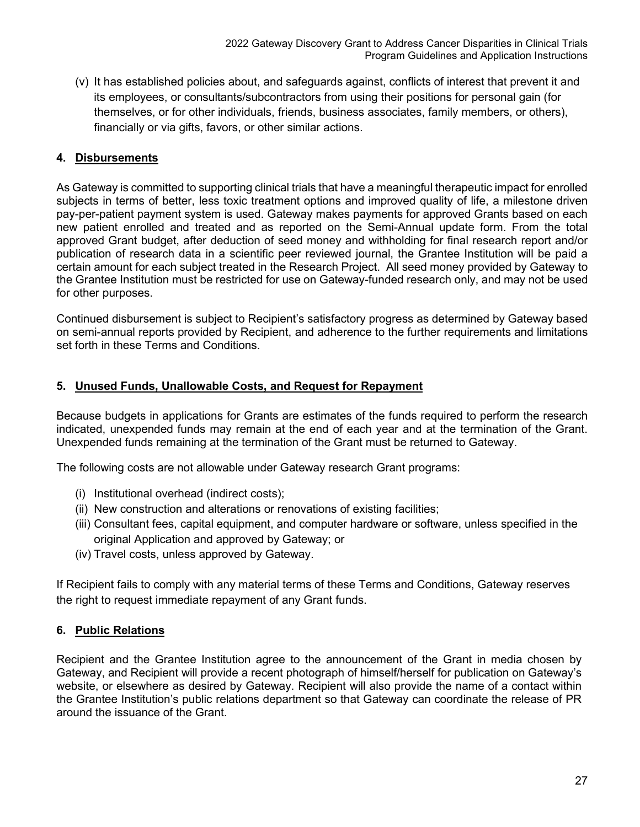(v) It has established policies about, and safeguards against, conflicts of interest that prevent it and its employees, or consultants/subcontractors from using their positions for personal gain (for themselves, or for other individuals, friends, business associates, family members, or others), financially or via gifts, favors, or other similar actions.

## <span id="page-27-0"></span>**4. Disbursements**

As Gateway is committed to supporting clinical trials that have a meaningful therapeutic impact for enrolled subjects in terms of better, less toxic treatment options and improved quality of life, a milestone driven pay-per-patient payment system is used. Gateway makes payments for approved Grants based on each new patient enrolled and treated and as reported on the Semi-Annual update form. From the total approved Grant budget, after deduction of seed money and withholding for final research report and/or publication of research data in a scientific peer reviewed journal, the Grantee Institution will be paid a certain amount for each subject treated in the Research Project. All seed money provided by Gateway to the Grantee Institution must be restricted for use on Gateway-funded research only, and may not be used for other purposes.

Continued disbursement is subject to Recipient's satisfactory progress as determined by Gateway based on semi-annual reports provided by Recipient, and adherence to the further requirements and limitations set forth in these Terms and Conditions.

#### <span id="page-27-1"></span>**5. Unused Funds, Unallowable Costs, and Request for Repayment**

Because budgets in applications for Grants are estimates of the funds required to perform the research indicated, unexpended funds may remain at the end of each year and at the termination of the Grant. Unexpended funds remaining at the termination of the Grant must be returned to Gateway.

The following costs are not allowable under Gateway research Grant programs:

- (i) Institutional overhead (indirect costs);
- (ii) New construction and alterations or renovations of existing facilities;
- (iii) Consultant fees, capital equipment, and computer hardware or software, unless specified in the original Application and approved by Gateway; or
- (iv) Travel costs, unless approved by Gateway.

If Recipient fails to comply with any material terms of these Terms and Conditions, Gateway reserves the right to request immediate repayment of any Grant funds.

#### <span id="page-27-2"></span>**6. Public Relations**

Recipient and the Grantee Institution agree to the announcement of the Grant in media chosen by Gateway, and Recipient will provide a recent photograph of himself/herself for publication on Gateway's website, or elsewhere as desired by Gateway. Recipient will also provide the name of a contact within the Grantee Institution's public relations department so that Gateway can coordinate the release of PR around the issuance of the Grant.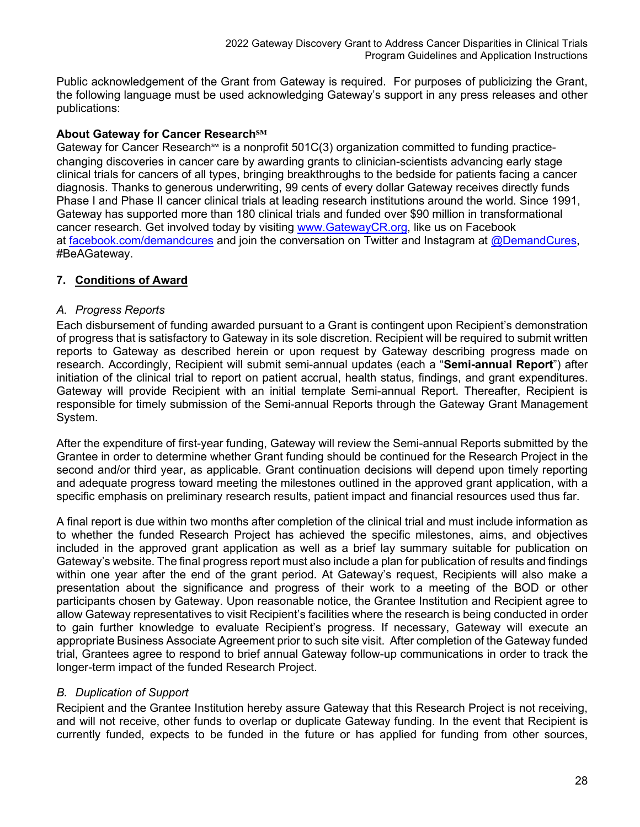Public acknowledgement of the Grant from Gateway is required. For purposes of publicizing the Grant, the following language must be used acknowledging Gateway's support in any press releases and other publications:

#### **About Gateway for Cancer Research℠**

Gateway for Cancer Research<sup>5M</sup> is a nonprofit 501C(3) organization committed to funding practicechanging discoveries in cancer care by awarding grants to clinician-scientists advancing early stage clinical trials for cancers of all types, bringing breakthroughs to the bedside for patients facing a cancer diagnosis. Thanks to generous underwriting, 99 cents of every dollar Gateway receives directly funds Phase I and Phase II cancer clinical trials at leading research institutions around the world. Since 1991, Gateway has supported more than 180 clinical trials and funded over \$90 million in transformational cancer research. Get involved today by visiting [www.GatewayCR.org,](https://nam11.safelinks.protection.outlook.com/?url=https%3A%2F%2Fc212.net%2Fc%2Flink%2F%3Ft%3D0%26l%3Den%26o%3D2432450-1%26h%3D3984989619%26u%3Dhttp%253A%252F%252Fwww.gatewaycr.org%252F%26a%3Dwww.GatewayCR.org&data=04%7C01%7CDelora.Senft%40gatewaycr.org%7C7101066d10544c6d9c9a08d87c5cd04b%7C9b45049cb0db452f9f3375b120b51c52%7C0%7C0%7C637396085364465176%7CUnknown%7CTWFpbGZsb3d8eyJWIjoiMC4wLjAwMDAiLCJQIjoiV2luMzIiLCJBTiI6Ik1haWwiLCJXVCI6Mn0%3D%7C1000&sdata=ITCh2LPItJ5AKjb29QX3bI0Bt3nzaORskmnZaqchg94%3D&reserved=0) like us on Facebook at [facebook.com/demandcures](https://nam11.safelinks.protection.outlook.com/?url=https%3A%2F%2Fc212.net%2Fc%2Flink%2F%3Ft%3D0%26l%3Den%26o%3D2432450-1%26h%3D3635116391%26u%3Dhttps%253A%252F%252Fwww.facebook.com%252FDemandCures%252F%253Fref%253Dbr_rs%26a%3Dfacebook.com%252Fdemandcures&data=04%7C01%7CDelora.Senft%40gatewaycr.org%7C7101066d10544c6d9c9a08d87c5cd04b%7C9b45049cb0db452f9f3375b120b51c52%7C0%7C0%7C637396085364465176%7CUnknown%7CTWFpbGZsb3d8eyJWIjoiMC4wLjAwMDAiLCJQIjoiV2luMzIiLCJBTiI6Ik1haWwiLCJXVCI6Mn0%3D%7C1000&sdata=0l6COLITaf8BTKUT5IWg6oXrMZFlPnMTH161PNxHQMc%3D&reserved=0) and join the conversation on Twitter and Instagram at  $@$ DemandCures, #BeAGateway.

## <span id="page-28-0"></span>**7. Conditions of Award**

#### *A. Progress Reports*

Each disbursement of funding awarded pursuant to a Grant is contingent upon Recipient's demonstration of progress that is satisfactory to Gateway in its sole discretion. Recipient will be required to submit written reports to Gateway as described herein or upon request by Gateway describing progress made on research. Accordingly, Recipient will submit semi-annual updates (each a "**Semi-annual Report**") after initiation of the clinical trial to report on patient accrual, health status, findings, and grant expenditures. Gateway will provide Recipient with an initial template Semi-annual Report. Thereafter, Recipient is responsible for timely submission of the Semi-annual Reports through the Gateway Grant Management System.

After the expenditure of first-year funding, Gateway will review the Semi-annual Reports submitted by the Grantee in order to determine whether Grant funding should be continued for the Research Project in the second and/or third year, as applicable. Grant continuation decisions will depend upon timely reporting and adequate progress toward meeting the milestones outlined in the approved grant application, with a specific emphasis on preliminary research results, patient impact and financial resources used thus far.

A final report is due within two months after completion of the clinical trial and must include information as to whether the funded Research Project has achieved the specific milestones, aims, and objectives included in the approved grant application as well as a brief lay summary suitable for publication on Gateway's website. The final progress report must also include a plan for publication of results and findings within one year after the end of the grant period. At Gateway's request, Recipients will also make a presentation about the significance and progress of their work to a meeting of the BOD or other participants chosen by Gateway. Upon reasonable notice, the Grantee Institution and Recipient agree to allow Gateway representatives to visit Recipient's facilities where the research is being conducted in order to gain further knowledge to evaluate Recipient's progress. If necessary, Gateway will execute an appropriate Business Associate Agreement prior to such site visit. After completion of the Gateway funded trial, Grantees agree to respond to brief annual Gateway follow-up communications in order to track the longer-term impact of the funded Research Project.

## *B. Duplication of Support*

Recipient and the Grantee Institution hereby assure Gateway that this Research Project is not receiving, and will not receive, other funds to overlap or duplicate Gateway funding. In the event that Recipient is currently funded, expects to be funded in the future or has applied for funding from other sources,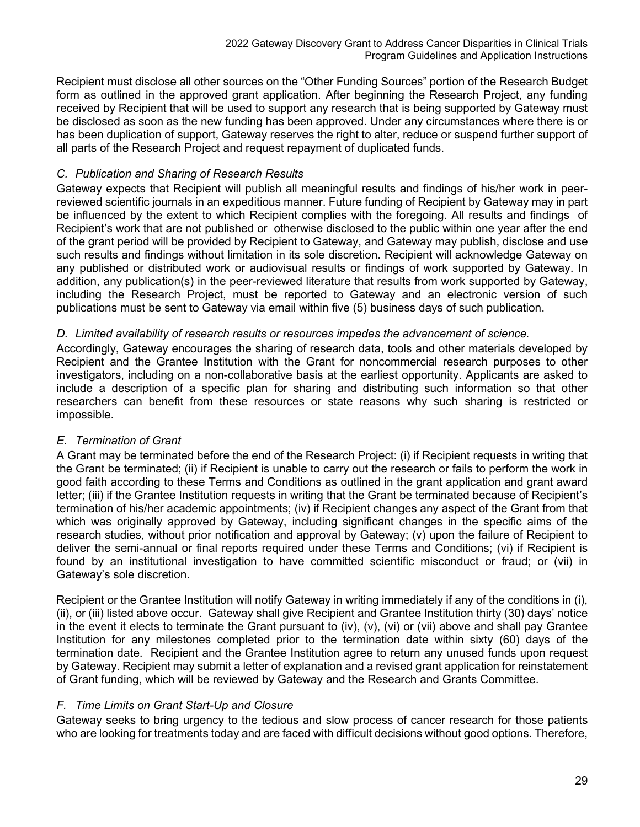Recipient must disclose all other sources on the "Other Funding Sources" portion of the Research Budget form as outlined in the approved grant application. After beginning the Research Project, any funding received by Recipient that will be used to support any research that is being supported by Gateway must be disclosed as soon as the new funding has been approved. Under any circumstances where there is or has been duplication of support, Gateway reserves the right to alter, reduce or suspend further support of all parts of the Research Project and request repayment of duplicated funds.

#### *C. Publication and Sharing of Research Results*

Gateway expects that Recipient will publish all meaningful results and findings of his/her work in peerreviewed scientific journals in an expeditious manner. Future funding of Recipient by Gateway may in part be influenced by the extent to which Recipient complies with the foregoing. All results and findings of Recipient's work that are not published or otherwise disclosed to the public within one year after the end of the grant period will be provided by Recipient to Gateway, and Gateway may publish, disclose and use such results and findings without limitation in its sole discretion. Recipient will acknowledge Gateway on any published or distributed work or audiovisual results or findings of work supported by Gateway. In addition, any publication(s) in the peer-reviewed literature that results from work supported by Gateway, including the Research Project, must be reported to Gateway and an electronic version of such publications must be sent to Gateway via email within five (5) business days of such publication.

#### *D. Limited availability of research results or resources impedes the advancement of science.*

Accordingly, Gateway encourages the sharing of research data, tools and other materials developed by Recipient and the Grantee Institution with the Grant for noncommercial research purposes to other investigators, including on a non-collaborative basis at the earliest opportunity. Applicants are asked to include a description of a specific plan for sharing and distributing such information so that other researchers can benefit from these resources or state reasons why such sharing is restricted or impossible.

## *E. Termination of Grant*

A Grant may be terminated before the end of the Research Project: (i) if Recipient requests in writing that the Grant be terminated; (ii) if Recipient is unable to carry out the research or fails to perform the work in good faith according to these Terms and Conditions as outlined in the grant application and grant award letter; (iii) if the Grantee Institution requests in writing that the Grant be terminated because of Recipient's termination of his/her academic appointments; (iv) if Recipient changes any aspect of the Grant from that which was originally approved by Gateway, including significant changes in the specific aims of the research studies, without prior notification and approval by Gateway; (v) upon the failure of Recipient to deliver the semi-annual or final reports required under these Terms and Conditions; (vi) if Recipient is found by an institutional investigation to have committed scientific misconduct or fraud; or (vii) in Gateway's sole discretion.

Recipient or the Grantee Institution will notify Gateway in writing immediately if any of the conditions in (i), (ii), or (iii) listed above occur. Gateway shall give Recipient and Grantee Institution thirty (30) days' notice in the event it elects to terminate the Grant pursuant to (iv), (v), (vi) or (vii) above and shall pay Grantee Institution for any milestones completed prior to the termination date within sixty (60) days of the termination date. Recipient and the Grantee Institution agree to return any unused funds upon request by Gateway. Recipient may submit a letter of explanation and a revised grant application for reinstatement of Grant funding, which will be reviewed by Gateway and the Research and Grants Committee.

#### *F. Time Limits on Grant Start-Up and Closure*

Gateway seeks to bring urgency to the tedious and slow process of cancer research for those patients who are looking for treatments today and are faced with difficult decisions without good options. Therefore,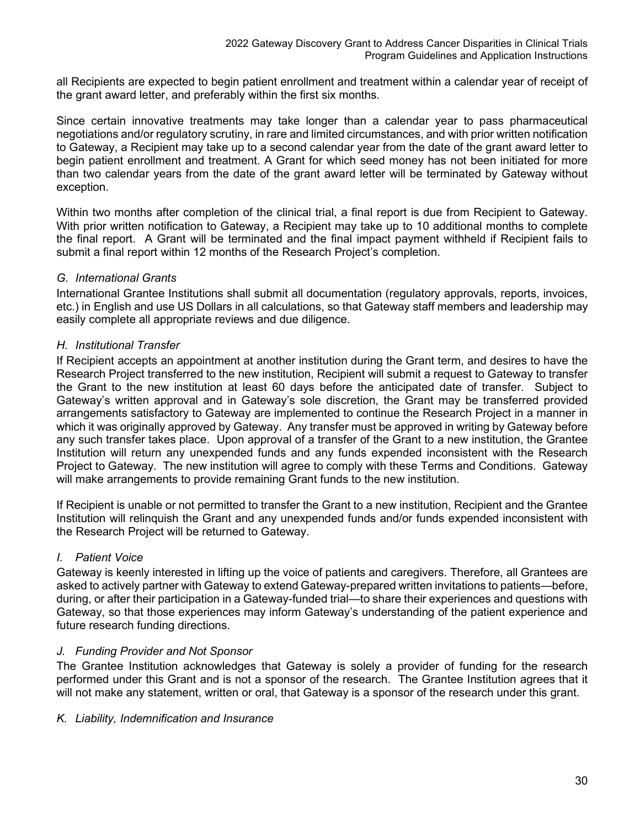all Recipients are expected to begin patient enrollment and treatment within a calendar year of receipt of the grant award letter, and preferably within the first six months.

Since certain innovative treatments may take longer than a calendar year to pass pharmaceutical negotiations and/or regulatory scrutiny, in rare and limited circumstances, and with prior written notification to Gateway, a Recipient may take up to a second calendar year from the date of the grant award letter to begin patient enrollment and treatment. A Grant for which seed money has not been initiated for more than two calendar years from the date of the grant award letter will be terminated by Gateway without exception.

Within two months after completion of the clinical trial, a final report is due from Recipient to Gateway. With prior written notification to Gateway, a Recipient may take up to 10 additional months to complete the final report. A Grant will be terminated and the final impact payment withheld if Recipient fails to submit a final report within 12 months of the Research Project's completion.

#### *G. International Grants*

International Grantee Institutions shall submit all documentation (regulatory approvals, reports, invoices, etc.) in English and use US Dollars in all calculations, so that Gateway staff members and leadership may easily complete all appropriate reviews and due diligence.

#### *H. Institutional Transfer*

If Recipient accepts an appointment at another institution during the Grant term, and desires to have the Research Project transferred to the new institution, Recipient will submit a request to Gateway to transfer the Grant to the new institution at least 60 days before the anticipated date of transfer. Subject to Gateway's written approval and in Gateway's sole discretion, the Grant may be transferred provided arrangements satisfactory to Gateway are implemented to continue the Research Project in a manner in which it was originally approved by Gateway. Any transfer must be approved in writing by Gateway before any such transfer takes place. Upon approval of a transfer of the Grant to a new institution, the Grantee Institution will return any unexpended funds and any funds expended inconsistent with the Research Project to Gateway. The new institution will agree to comply with these Terms and Conditions. Gateway will make arrangements to provide remaining Grant funds to the new institution.

If Recipient is unable or not permitted to transfer the Grant to a new institution, Recipient and the Grantee Institution will relinquish the Grant and any unexpended funds and/or funds expended inconsistent with the Research Project will be returned to Gateway.

#### *I. Patient Voice*

Gateway is keenly interested in lifting up the voice of patients and caregivers. Therefore, all Grantees are asked to actively partner with Gateway to extend Gateway-prepared written invitations to patients—before, during, or after their participation in a Gateway-funded trial—to share their experiences and questions with Gateway, so that those experiences may inform Gateway's understanding of the patient experience and future research funding directions.

#### *J. Funding Provider and Not Sponsor*

The Grantee Institution acknowledges that Gateway is solely a provider of funding for the research performed under this Grant and is not a sponsor of the research. The Grantee Institution agrees that it will not make any statement, written or oral, that Gateway is a sponsor of the research under this grant.

#### *K. Liability, Indemnification and Insurance*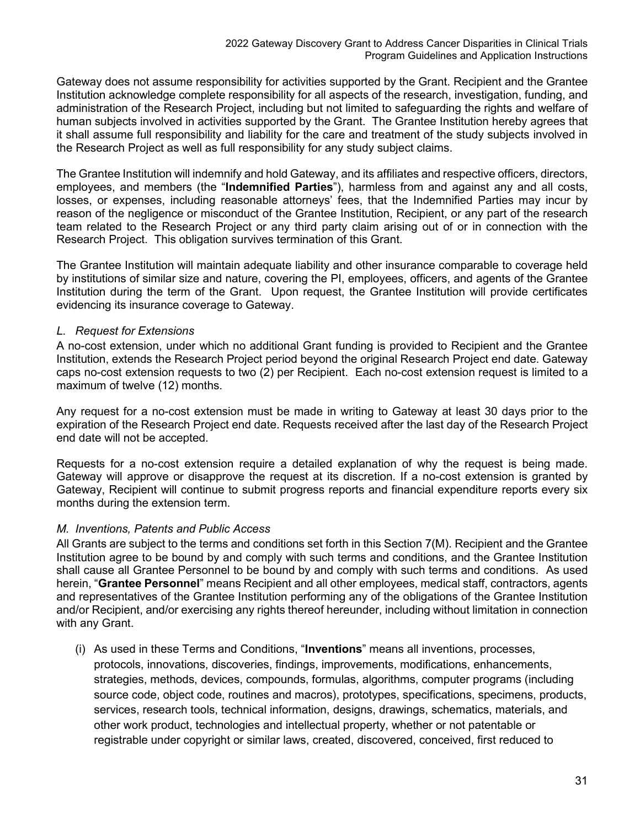Gateway does not assume responsibility for activities supported by the Grant. Recipient and the Grantee Institution acknowledge complete responsibility for all aspects of the research, investigation, funding, and administration of the Research Project, including but not limited to safeguarding the rights and welfare of human subjects involved in activities supported by the Grant. The Grantee Institution hereby agrees that it shall assume full responsibility and liability for the care and treatment of the study subjects involved in the Research Project as well as full responsibility for any study subject claims.

The Grantee Institution will indemnify and hold Gateway, and its affiliates and respective officers, directors, employees, and members (the "**Indemnified Parties**"), harmless from and against any and all costs, losses, or expenses, including reasonable attorneys' fees, that the Indemnified Parties may incur by reason of the negligence or misconduct of the Grantee Institution, Recipient, or any part of the research team related to the Research Project or any third party claim arising out of or in connection with the Research Project. This obligation survives termination of this Grant.

The Grantee Institution will maintain adequate liability and other insurance comparable to coverage held by institutions of similar size and nature, covering the PI, employees, officers, and agents of the Grantee Institution during the term of the Grant. Upon request, the Grantee Institution will provide certificates evidencing its insurance coverage to Gateway.

#### *L. Request for Extensions*

A no-cost extension, under which no additional Grant funding is provided to Recipient and the Grantee Institution, extends the Research Project period beyond the original Research Project end date. Gateway caps no-cost extension requests to two (2) per Recipient. Each no-cost extension request is limited to a maximum of twelve (12) months.

Any request for a no-cost extension must be made in writing to Gateway at least 30 days prior to the expiration of the Research Project end date. Requests received after the last day of the Research Project end date will not be accepted.

Requests for a no-cost extension require a detailed explanation of why the request is being made. Gateway will approve or disapprove the request at its discretion. If a no-cost extension is granted by Gateway, Recipient will continue to submit progress reports and financial expenditure reports every six months during the extension term.

## *M. Inventions, Patents and Public Access*

All Grants are subject to the terms and conditions set forth in this Section 7(M). Recipient and the Grantee Institution agree to be bound by and comply with such terms and conditions, and the Grantee Institution shall cause all Grantee Personnel to be bound by and comply with such terms and conditions. As used herein, "**Grantee Personnel**" means Recipient and all other employees, medical staff, contractors, agents and representatives of the Grantee Institution performing any of the obligations of the Grantee Institution and/or Recipient, and/or exercising any rights thereof hereunder, including without limitation in connection with any Grant.

(i) As used in these Terms and Conditions, "**Inventions**" means all inventions, processes, protocols, innovations, discoveries, findings, improvements, modifications, enhancements, strategies, methods, devices, compounds, formulas, algorithms, computer programs (including source code, object code, routines and macros), prototypes, specifications, specimens, products, services, research tools, technical information, designs, drawings, schematics, materials, and other work product, technologies and intellectual property, whether or not patentable or registrable under copyright or similar laws, created, discovered, conceived, first reduced to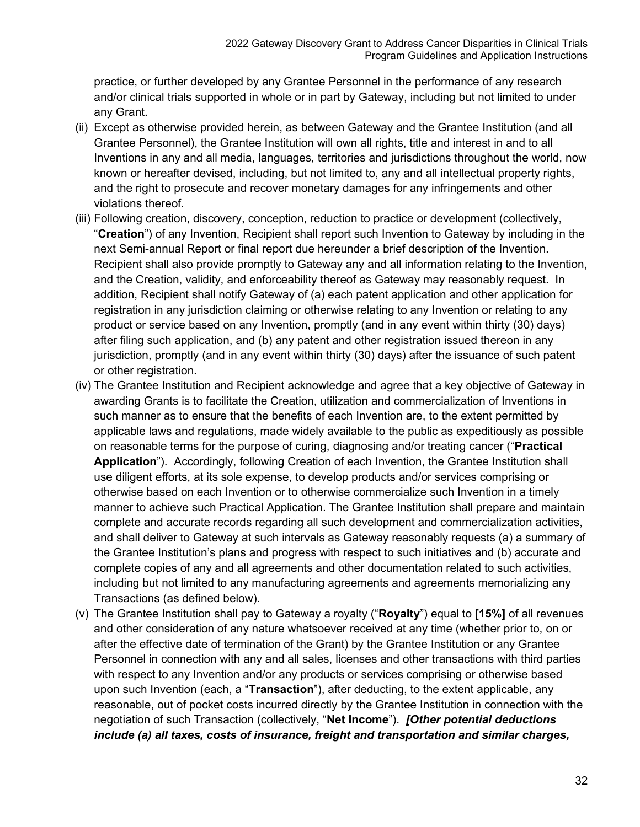practice, or further developed by any Grantee Personnel in the performance of any research and/or clinical trials supported in whole or in part by Gateway, including but not limited to under any Grant.

- (ii) Except as otherwise provided herein, as between Gateway and the Grantee Institution (and all Grantee Personnel), the Grantee Institution will own all rights, title and interest in and to all Inventions in any and all media, languages, territories and jurisdictions throughout the world, now known or hereafter devised, including, but not limited to, any and all intellectual property rights, and the right to prosecute and recover monetary damages for any infringements and other violations thereof.
- (iii) Following creation, discovery, conception, reduction to practice or development (collectively, "**Creation**") of any Invention, Recipient shall report such Invention to Gateway by including in the next Semi-annual Report or final report due hereunder a brief description of the Invention. Recipient shall also provide promptly to Gateway any and all information relating to the Invention, and the Creation, validity, and enforceability thereof as Gateway may reasonably request. In addition, Recipient shall notify Gateway of (a) each patent application and other application for registration in any jurisdiction claiming or otherwise relating to any Invention or relating to any product or service based on any Invention, promptly (and in any event within thirty (30) days) after filing such application, and (b) any patent and other registration issued thereon in any jurisdiction, promptly (and in any event within thirty (30) days) after the issuance of such patent or other registration.
- (iv) The Grantee Institution and Recipient acknowledge and agree that a key objective of Gateway in awarding Grants is to facilitate the Creation, utilization and commercialization of Inventions in such manner as to ensure that the benefits of each Invention are, to the extent permitted by applicable laws and regulations, made widely available to the public as expeditiously as possible on reasonable terms for the purpose of curing, diagnosing and/or treating cancer ("**Practical Application**"). Accordingly, following Creation of each Invention, the Grantee Institution shall use diligent efforts, at its sole expense, to develop products and/or services comprising or otherwise based on each Invention or to otherwise commercialize such Invention in a timely manner to achieve such Practical Application. The Grantee Institution shall prepare and maintain complete and accurate records regarding all such development and commercialization activities, and shall deliver to Gateway at such intervals as Gateway reasonably requests (a) a summary of the Grantee Institution's plans and progress with respect to such initiatives and (b) accurate and complete copies of any and all agreements and other documentation related to such activities, including but not limited to any manufacturing agreements and agreements memorializing any Transactions (as defined below).
- (v) The Grantee Institution shall pay to Gateway a royalty ("**Royalty**") equal to **[15%]** of all revenues and other consideration of any nature whatsoever received at any time (whether prior to, on or after the effective date of termination of the Grant) by the Grantee Institution or any Grantee Personnel in connection with any and all sales, licenses and other transactions with third parties with respect to any Invention and/or any products or services comprising or otherwise based upon such Invention (each, a "**Transaction**"), after deducting, to the extent applicable, any reasonable, out of pocket costs incurred directly by the Grantee Institution in connection with the negotiation of such Transaction (collectively, "**Net Income**"). *[Other potential deductions include (a) all taxes, costs of insurance, freight and transportation and similar charges,*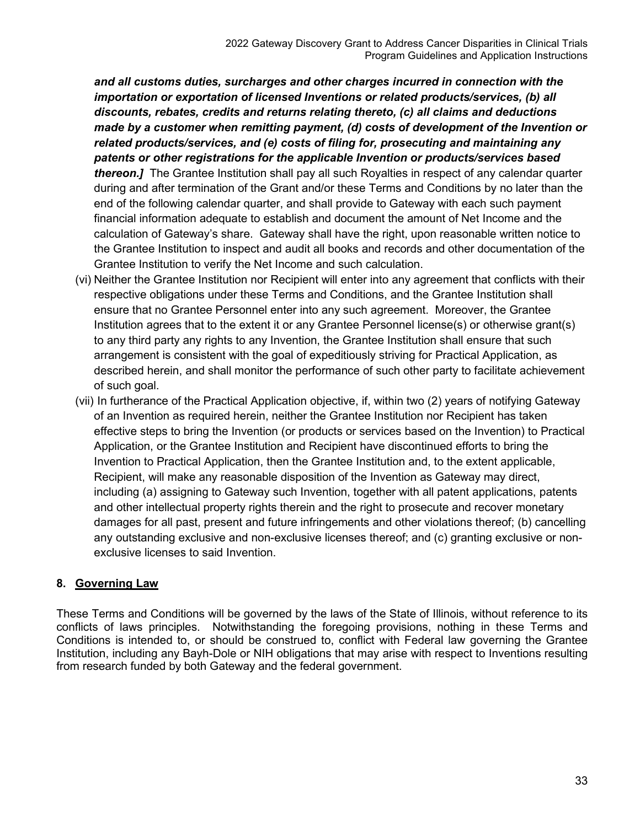*and all customs duties, surcharges and other charges incurred in connection with the importation or exportation of licensed Inventions or related products/services, (b) all discounts, rebates, credits and returns relating thereto, (c) all claims and deductions made by a customer when remitting payment, (d) costs of development of the Invention or related products/services, and (e) costs of filing for, prosecuting and maintaining any patents or other registrations for the applicable Invention or products/services based thereon.]* The Grantee Institution shall pay all such Royalties in respect of any calendar quarter during and after termination of the Grant and/or these Terms and Conditions by no later than the end of the following calendar quarter, and shall provide to Gateway with each such payment financial information adequate to establish and document the amount of Net Income and the calculation of Gateway's share. Gateway shall have the right, upon reasonable written notice to the Grantee Institution to inspect and audit all books and records and other documentation of the Grantee Institution to verify the Net Income and such calculation.

- (vi) Neither the Grantee Institution nor Recipient will enter into any agreement that conflicts with their respective obligations under these Terms and Conditions, and the Grantee Institution shall ensure that no Grantee Personnel enter into any such agreement. Moreover, the Grantee Institution agrees that to the extent it or any Grantee Personnel license(s) or otherwise grant(s) to any third party any rights to any Invention, the Grantee Institution shall ensure that such arrangement is consistent with the goal of expeditiously striving for Practical Application, as described herein, and shall monitor the performance of such other party to facilitate achievement of such goal.
- (vii) In furtherance of the Practical Application objective, if, within two (2) years of notifying Gateway of an Invention as required herein, neither the Grantee Institution nor Recipient has taken effective steps to bring the Invention (or products or services based on the Invention) to Practical Application, or the Grantee Institution and Recipient have discontinued efforts to bring the Invention to Practical Application, then the Grantee Institution and, to the extent applicable, Recipient, will make any reasonable disposition of the Invention as Gateway may direct, including (a) assigning to Gateway such Invention, together with all patent applications, patents and other intellectual property rights therein and the right to prosecute and recover monetary damages for all past, present and future infringements and other violations thereof; (b) cancelling any outstanding exclusive and non-exclusive licenses thereof; and (c) granting exclusive or nonexclusive licenses to said Invention.

## <span id="page-33-0"></span>**8. Governing Law**

These Terms and Conditions will be governed by the laws of the State of Illinois, without reference to its conflicts of laws principles. Notwithstanding the foregoing provisions, nothing in these Terms and Conditions is intended to, or should be construed to, conflict with Federal law governing the Grantee Institution, including any Bayh-Dole or NIH obligations that may arise with respect to Inventions resulting from research funded by both Gateway and the federal government.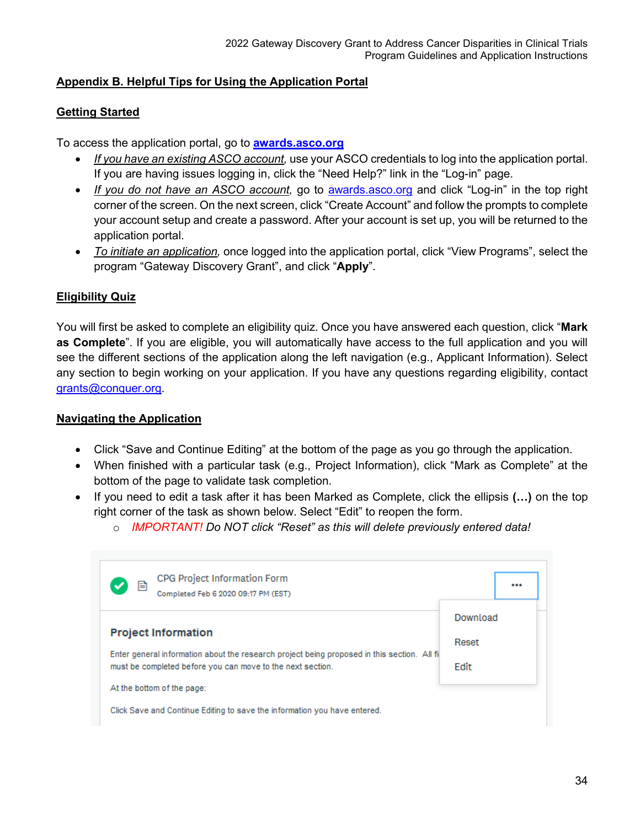## <span id="page-34-0"></span>**Appendix B. Helpful Tips for Using the Application Portal**

## <span id="page-34-1"></span>**Getting Started**

To access the application portal, go to **[awards.asco.org](https://asco.smapply.org/)**

- *If you have an existing ASCO account,* use your ASCO credentials to log into the application portal. If you are having issues logging in, click the "Need Help?" link in the "Log-in" page.
- *If you do not have an ASCO account,* go to [awards.asco.org](https://asco.smapply.org/) and click "Log-in" in the top right corner of the screen. On the next screen, click "Create Account" and follow the prompts to complete your account setup and create a password. After your account is set up, you will be returned to the application portal.
- *To initiate an application,* once logged into the application portal, click "View Programs", select the program "Gateway Discovery Grant", and click "**Apply**".

## <span id="page-34-2"></span>**Eligibility Quiz**

You will first be asked to complete an eligibility quiz. Once you have answered each question, click "**Mark as Complete**". If you are eligible, you will automatically have access to the full application and you will see the different sections of the application along the left navigation (e.g., Applicant Information). Select any section to begin working on your application. If you have any questions regarding eligibility, contact [grants@conquer.org.](mailto:grants@conquer.org)

## <span id="page-34-3"></span>**Navigating the Application**

- Click "Save and Continue Editing" at the bottom of the page as you go through the application.
- When finished with a particular task (e.g., Project Information), click "Mark as Complete" at the bottom of the page to validate task completion.
- If you need to edit a task after it has been Marked as Complete, click the ellipsis **(…)** on the top right corner of the task as shown below. Select "Edit" to reopen the form.
	- o *IMPORTANT! Do NOT click "Reset" as this will delete previously entered data!*

| CPG Project Information Form<br>e<br>Completed Feb 6 2020 09:17 PM (EST)                     |          |
|----------------------------------------------------------------------------------------------|----------|
|                                                                                              | Download |
| <b>Project Information</b>                                                                   | Reset    |
| Enter general information about the research project being proposed in this section. All fil |          |
| must be completed before you can move to the next section.                                   | Edit     |
| At the bottom of the page:                                                                   |          |
| Click Save and Continue Editing to save the information you have entered.                    |          |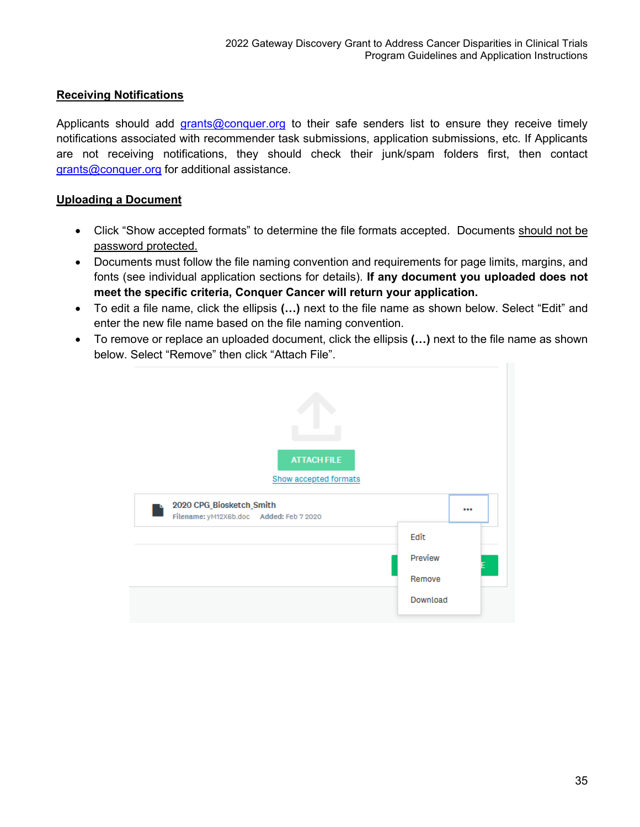## <span id="page-35-0"></span>**Receiving Notifications**

Applicants should add [grants@conquer.org](mailto:grants@conquer.org) to their safe senders list to ensure they receive timely notifications associated with recommender task submissions, application submissions, etc. If Applicants are not receiving notifications, they should check their junk/spam folders first, then contact [grants@conquer.org](mailto:grants@conquer.org) for additional assistance.

#### <span id="page-35-1"></span>**Uploading a Document**

- Click "Show accepted formats" to determine the file formats accepted. Documents should not be password protected.
- Documents must follow the file naming convention and requirements for page limits, margins, and fonts (see individual application sections for details). **If any document you uploaded does not meet the specific criteria, Conquer Cancer will return your application.**
- To edit a file name, click the ellipsis **(…)** next to the file name as shown below. Select "Edit" and enter the new file name based on the file naming convention.
- To remove or replace an uploaded document, click the ellipsis **(…)** next to the file name as shown below. Select "Remove" then click "Attach File".

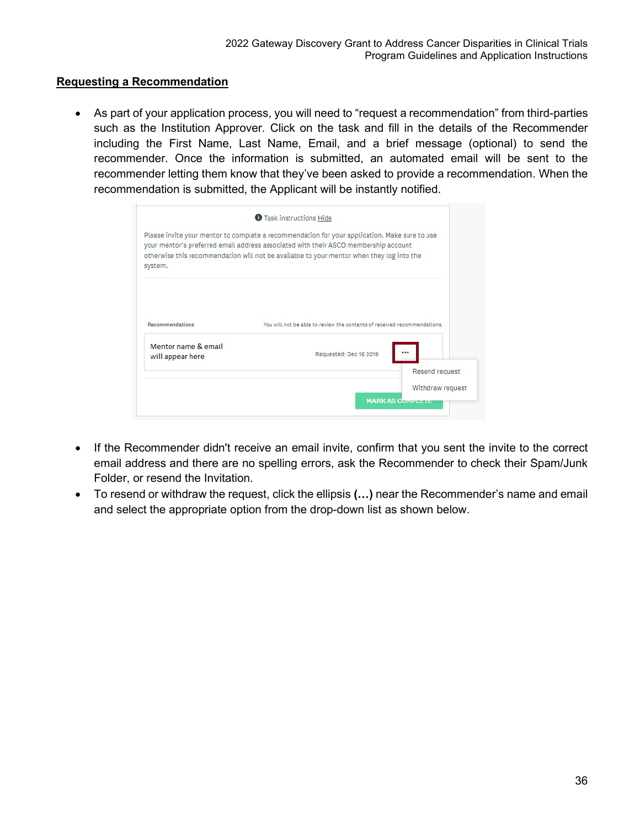#### <span id="page-36-0"></span>**Requesting a Recommendation**

• As part of your application process, you will need to "request a recommendation" from third-parties such as the Institution Approver. Click on the task and fill in the details of the Recommender including the First Name, Last Name, Email, and a brief message (optional) to send the recommender. Once the information is submitted, an automated email will be sent to the recommender letting them know that they've been asked to provide a recommendation. When the recommendation is submitted, the Applicant will be instantly notified.

|                                        | Please invite your mentor to complete a recommendation for your application. Make sure to use<br>your mentor's preferred email address associated with their ASCO membership account |  |
|----------------------------------------|--------------------------------------------------------------------------------------------------------------------------------------------------------------------------------------|--|
| system.                                | otherwise this recommendation will not be available to your mentor when they log into the                                                                                            |  |
|                                        |                                                                                                                                                                                      |  |
|                                        | You will not be able to review the contents of received recommendations.                                                                                                             |  |
| Recommendations<br>Mentor name & email |                                                                                                                                                                                      |  |
| will appear here                       | Requested: Dec 16 2019                                                                                                                                                               |  |
|                                        | Resend request                                                                                                                                                                       |  |

- If the Recommender didn't receive an email invite, confirm that you sent the invite to the correct email address and there are no spelling errors, ask the Recommender to check their Spam/Junk Folder, or resend the Invitation.
- To resend or withdraw the request, click the ellipsis **(…)** near the Recommender's name and email and select the appropriate option from the drop-down list as shown below.